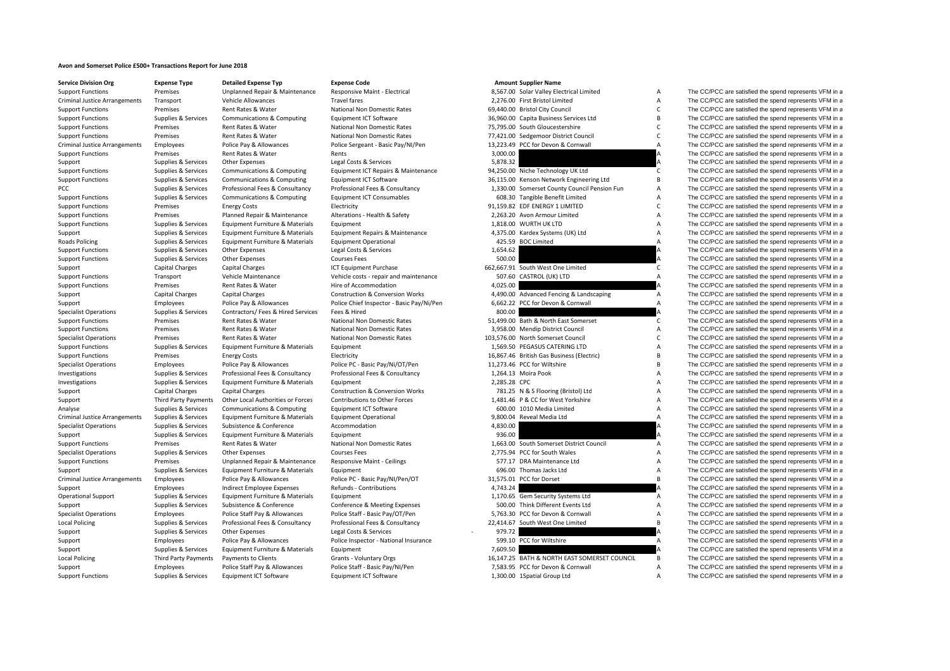## **Avon and Somerset Police £500+ Transactions Report for June 2018**

| <b>Service Division Org</b>          |  |
|--------------------------------------|--|
| <b>Support Functions</b>             |  |
| <b>Criminal Justice Arrangements</b> |  |
| <b>Support Functions</b>             |  |
| <b>Support Functions</b>             |  |
| <b>Support Functions</b>             |  |
| <b>Support Functions</b>             |  |
| <b>Criminal Justice Arrangements</b> |  |
| <b>Support Functions</b>             |  |
| Support                              |  |
| <b>Support Functions</b>             |  |
| <b>Support Functions</b>             |  |
| PCC                                  |  |
| <b>Support Functions</b>             |  |
| <b>Support Functions</b>             |  |
| <b>Support Functions</b>             |  |
| <b>Support Functions</b>             |  |
| Support                              |  |
| <b>Roads Policing</b>                |  |
| <b>Support Functions</b>             |  |
| <b>Support Functions</b>             |  |
| Support                              |  |
| <b>Support Functions</b>             |  |
| <b>Support Functions</b>             |  |
| Support                              |  |
| Support                              |  |
| <b>Specialist Operations</b>         |  |
| <b>Support Functions</b>             |  |
| <b>Support Functions</b>             |  |
| <b>Specialist Operations</b>         |  |
| <b>Support Functions</b>             |  |
| <b>Support Functions</b>             |  |
| <b>Specialist Operations</b>         |  |
| Investigations                       |  |
| Investigations                       |  |
| Support                              |  |
| Support                              |  |
| Analyse                              |  |
| <b>Criminal Justice Arrangements</b> |  |
| <b>Specialist Operations</b>         |  |
| Support                              |  |
| <b>Support Functions</b>             |  |
| <b>Specialist Operations</b>         |  |
| <b>Support Functions</b>             |  |
| Support                              |  |
| Criminal Justice Arrangements        |  |
| Support                              |  |
| <b>Operational Support</b>           |  |
| Support                              |  |
| <b>Specialist Operations</b>         |  |
| <b>Local Policing</b>                |  |
| Support                              |  |
| Support                              |  |
| Support                              |  |
| <b>Local Policing</b>                |  |
| Support                              |  |
|                                      |  |

| <b>Service Division Org</b>                          | <b>Expense Type</b>  | <b>Detailed Expense Typ</b>        | <b>Expense Code</b>                        |              | <b>Amount Supplier Name</b>                  |                |                                                        |
|------------------------------------------------------|----------------------|------------------------------------|--------------------------------------------|--------------|----------------------------------------------|----------------|--------------------------------------------------------|
| <b>Support Functions</b>                             | Premises             | Unplanned Repair & Maintenance     | Responsive Maint - Electrical              |              | 8,567.00 Solar Valley Electrical Limited     | А              | The CC/PCC are satisfied the spend represents VFM in a |
| <b>Criminal Justice Arrangements</b>                 | Transport            | Vehicle Allowances                 | <b>Travel fares</b>                        |              | 2,276.00 First Bristol Limited               | A              | The CC/PCC are satisfied the spend represents VFM in a |
| <b>Support Functions</b>                             | Premises             | Rent Rates & Water                 | National Non Domestic Rates                |              | 69,440.00 Bristol City Council               | $\mathsf{C}$   | The CC/PCC are satisfied the spend represents VFM in a |
| <b>Support Functions</b>                             | Supplies & Services  | Communications & Computing         | Equipment ICT Software                     |              | 36,960.00 Capita Business Services Ltd       | <b>B</b>       | The CC/PCC are satisfied the spend represents VFM in a |
| <b>Support Functions</b>                             | Premises             | Rent Rates & Water                 | National Non Domestic Rates                |              | 75,795.00 South Gloucestershire              | $\mathsf{C}$   | The CC/PCC are satisfied the spend represents VFM in a |
| <b>Support Functions</b>                             | Premises             | Rent Rates & Water                 | National Non Domestic Rates                |              | 77,421.00 Sedgemoor District Council         | $\mathsf{C}$   | The CC/PCC are satisfied the spend represents VFM in a |
| <b>Criminal Justice Arrangements</b>                 | Employees            | Police Pay & Allowances            | Police Sergeant - Basic Pay/NI/Pen         |              | 13,223.49 PCC for Devon & Cornwall           | A              | The CC/PCC are satisfied the spend represents VFM in a |
| <b>Support Functions</b>                             | Premises             | Rent Rates & Water                 | Rents                                      | 3,000.00     |                                              | Α              | The CC/PCC are satisfied the spend represents VFM in a |
| Support                                              | Supplies & Services  | <b>Other Expenses</b>              | Legal Costs & Services                     | 5,878.32     |                                              |                | The CC/PCC are satisfied the spend represents VFM in a |
| <b>Support Functions</b>                             | Supplies & Services  | Communications & Computing         | Equipment ICT Repairs & Maintenance        |              | 94,250.00 Niche Technology UK Ltd            | C              | The CC/PCC are satisfied the spend represents VFM in a |
| <b>Support Functions</b>                             | Supplies & Services  | Communications & Computing         | Equipment ICT Software                     |              | 36,115.00 Kenson Network Engineering Ltd     | B              | The CC/PCC are satisfied the spend represents VFM in a |
| PCC                                                  | Supplies & Services  | Professional Fees & Consultancy    | Professional Fees & Consultancy            |              | 1,330.00 Somerset County Council Pension Fun | $\overline{A}$ | The CC/PCC are satisfied the spend represents VFM in a |
| <b>Support Functions</b>                             | Supplies & Services  | Communications & Computing         | <b>Equipment ICT Consumables</b>           |              | 608.30 Tangible Benefit Limited              | A              | The CC/PCC are satisfied the spend represents VFM in a |
| <b>Support Functions</b>                             | Premises             | <b>Energy Costs</b>                | Electricity                                |              | 91,159.82 EDF ENERGY 1 LIMITED               | $\mathsf{C}$   | The CC/PCC are satisfied the spend represents VFM in a |
| <b>Support Functions</b>                             | Premises             | Planned Repair & Maintenance       | Alterations - Health & Safety              |              | 2.263.20 Avon Armour Limited                 | A              | The CC/PCC are satisfied the spend represents VFM in a |
| <b>Support Functions</b>                             | Supplies & Services  | Equipment Furniture & Materials    | Equipment                                  |              | 1,818.00 WURTH UK LTD                        | A              | The CC/PCC are satisfied the spend represents VFM in a |
| Support                                              | Supplies & Services  | Equipment Furniture & Materials    | Equipment Repairs & Maintenance            |              | 4,375.00 Kardex Systems (UK) Ltd             | A              | The CC/PCC are satisfied the spend represents VFM in a |
| Roads Policing                                       | Supplies & Services  | Equipment Furniture & Materials    | <b>Equipment Operational</b>               |              | 425.59 BOC Limited                           | A              | The CC/PCC are satisfied the spend represents VFM in a |
| <b>Support Functions</b>                             | Supplies & Services  | Other Expenses                     | Legal Costs & Services                     | 1,654.62     |                                              |                | The CC/PCC are satisfied the spend represents VFM in a |
| <b>Support Functions</b>                             | Supplies & Services  | Other Expenses                     | <b>Courses Fees</b>                        | 500.00       |                                              | A              | The CC/PCC are satisfied the spend represents VFM in a |
|                                                      | Capital Charges      | <b>Capital Charges</b>             | ICT Equipment Purchase                     |              | 662,667.91 South West One Limited            | C              | The CC/PCC are satisfied the spend represents VFM in a |
| Support                                              | Transport            | Vehicle Maintenance                | Vehicle costs - repair and maintenance     |              | 507.60 CASTROL (UK) LTD                      | A              | The CC/PCC are satisfied the spend represents VFM in a |
| <b>Support Functions</b><br><b>Support Functions</b> | Premises             | Rent Rates & Water                 | Hire of Accommodation                      | 4,025.00     |                                              |                | The CC/PCC are satisfied the spend represents VFM in a |
|                                                      |                      |                                    |                                            |              |                                              | A              |                                                        |
| Support                                              | Capital Charges      | <b>Capital Charges</b>             | <b>Construction &amp; Conversion Works</b> |              | 4,490.00 Advanced Fencing & Landscaping      |                | The CC/PCC are satisfied the spend represents VFM in a |
| Support                                              | Employees            | Police Pay & Allowances            | Police Chief Inspector - Basic Pay/Ni/Pen  |              | 6,662.22 PCC for Devon & Cornwall            | A              | The CC/PCC are satisfied the spend represents VFM in a |
| <b>Specialist Operations</b>                         | Supplies & Services  | Contractors/ Fees & Hired Services | Fees & Hired                               | 800.00       |                                              |                | The CC/PCC are satisfied the spend represents VFM in a |
| <b>Support Functions</b>                             | Premises             | Rent Rates & Water                 | National Non Domestic Rates                |              | 51,499.00 Bath & North East Somerset         | C              | The CC/PCC are satisfied the spend represents VFM in a |
| <b>Support Functions</b>                             | Premises             | Rent Rates & Water                 | National Non Domestic Rates                |              | 3,958.00 Mendip District Council             | A              | The CC/PCC are satisfied the spend represents VFM in a |
| <b>Specialist Operations</b>                         | Premises             | Rent Rates & Water                 | National Non Domestic Rates                |              | 103,576.00 North Somerset Council            | $\mathsf{C}$   | The CC/PCC are satisfied the spend represents VFM in a |
| <b>Support Functions</b>                             | Supplies & Services  | Equipment Furniture & Materials    | Equipment                                  |              | 1,569.50 PEGASUS CATERING LTD                | A              | The CC/PCC are satisfied the spend represents VFM in a |
| <b>Support Functions</b>                             | Premises             | <b>Energy Costs</b>                | Electricity                                |              | 16,867.46 British Gas Business (Electric)    | B              | The CC/PCC are satisfied the spend represents VFM in a |
| <b>Specialist Operations</b>                         | Employees            | Police Pay & Allowances            | Police PC - Basic Pay/Ni/OT/Pen            |              | 11,273.46 PCC for Wiltshire                  | B              | The CC/PCC are satisfied the spend represents VFM in a |
| Investigations                                       | Supplies & Services  | Professional Fees & Consultancy    | Professional Fees & Consultancy            |              | 1,264.13 Moira Pook                          | A              | The CC/PCC are satisfied the spend represents VFM in a |
| Investigations                                       | Supplies & Services  | Equipment Furniture & Materials    | Equipment                                  | 2,285.28 CPC |                                              | A              | The CC/PCC are satisfied the spend represents VFM in a |
| Support                                              | Capital Charges      | <b>Capital Charges</b>             | <b>Construction &amp; Conversion Works</b> |              | 781.25 N & S Flooring (Bristol) Ltd          | A              | The CC/PCC are satisfied the spend represents VFM in a |
| Support                                              | Third Party Payments | Other Local Authorities or Forces  | Contributions to Other Forces              |              | 1,481.46 P & CC for West Yorkshire           | A              | The CC/PCC are satisfied the spend represents VFM in a |
| Analyse                                              | Supplies & Services  | Communications & Computing         | Equipment ICT Software                     |              | 600.00 1010 Media Limited                    | A              | The CC/PCC are satisfied the spend represents VFM in a |
| <b>Criminal Justice Arrangements</b>                 | Supplies & Services  | Equipment Furniture & Materials    | <b>Equipment Operational</b>               |              | 9,800.04 Reveal Media Ltd                    | A              | The CC/PCC are satisfied the spend represents VFM in a |
| <b>Specialist Operations</b>                         | Supplies & Services  | Subsistence & Conference           | Accommodation                              | 4,830.00     |                                              | А              | The CC/PCC are satisfied the spend represents VFM in a |
| Support                                              | Supplies & Services  | Equipment Furniture & Materials    | Equipment                                  | 936.00       |                                              |                | The CC/PCC are satisfied the spend represents VFM in a |
| <b>Support Functions</b>                             | Premises             | Rent Rates & Water                 | <b>National Non Domestic Rates</b>         |              | 1.663.00 South Somerset District Council     | A              | The CC/PCC are satisfied the spend represents VFM in a |
| <b>Specialist Operations</b>                         | Supplies & Services  | Other Expenses                     | <b>Courses Fees</b>                        |              | 2,775.94 PCC for South Wales                 | A              | The CC/PCC are satisfied the spend represents VFM in a |
| <b>Support Functions</b>                             | Premises             | Unplanned Repair & Maintenance     | <b>Responsive Maint - Ceilings</b>         |              | 577.17 DRA Maintenance Ltd                   | A              | The CC/PCC are satisfied the spend represents VFM in a |
| Support                                              | Supplies & Services  | Equipment Furniture & Materials    | Equipment                                  |              | 696.00 Thomas Jacks Ltd                      | A              | The CC/PCC are satisfied the spend represents VFM in a |
| <b>Criminal Justice Arrangements</b>                 | Employees            | Police Pay & Allowances            | Police PC - Basic Pay/NI/Pen/OT            |              | 31,575.01 PCC for Dorset                     | B              | The CC/PCC are satisfied the spend represents VFM in a |
| Support                                              | Employees            | Indirect Employee Expenses         | Refunds - Contributions                    | 4,743.24     |                                              |                | The CC/PCC are satisfied the spend represents VFM in a |
| <b>Operational Support</b>                           | Supplies & Services  | Equipment Furniture & Materials    | Equipment                                  |              | 1,170.65 Gem Security Systems Ltd            | A              | The CC/PCC are satisfied the spend represents VFM in a |
| Support                                              | Supplies & Services  | Subsistence & Conference           | Conference & Meeting Expenses              |              | 500.00 Think Different Events Ltd            | A              | The CC/PCC are satisfied the spend represents VFM in a |
| <b>Specialist Operations</b>                         | Employees            | Police Staff Pay & Allowances      | Police Staff - Basic Pay/OT/Pen            |              | 5,763.30 PCC for Devon & Cornwall            | A              | The CC/PCC are satisfied the spend represents VFM in a |
| <b>Local Policing</b>                                | Supplies & Services  | Professional Fees & Consultancy    | Professional Fees & Consultancy            |              | 22,414.67 South West One Limited             | <b>B</b>       | The CC/PCC are satisfied the spend represents VFM in a |
| Support                                              | Supplies & Services  | Other Expenses                     | Legal Costs & Services                     | 979.72       |                                              |                | The CC/PCC are satisfied the spend represents VFM in a |
| Support                                              | Employees            | Police Pay & Allowances            | Police Inspector - National Insurance      |              | 599.10 PCC for Wiltshire                     | A              | The CC/PCC are satisfied the spend represents VFM in a |
| Support                                              | Supplies & Services  | Equipment Furniture & Materials    | Equipment                                  | 7,609.50     |                                              |                | The CC/PCC are satisfied the spend represents VFM in a |
| <b>Local Policing</b>                                | Third Party Payments | Payments to Clients                | Grants - Voluntary Orgs                    |              | 16.147.25 BATH & NORTH EAST SOMERSET COUNCIL | B              | The CC/PCC are satisfied the spend represents VFM in a |
| Support                                              | Employees            | Police Staff Pay & Allowances      | Police Staff - Basic Pay/NI/Pen            |              | 7,583.95 PCC for Devon & Cornwall            | A              | The CC/PCC are satisfied the spend represents VFM in a |
| Support Functions                                    | Supplies & Services  | <b>Faujoment ICT Software</b>      | <b>Faujoment ICT Software</b>              |              | 1.300.00 1Spatial Group Ltd                  | A              | The CC/PCC are satisfied the spend represents VFM in a |
|                                                      |                      |                                    |                                            |              |                                              |                |                                                        |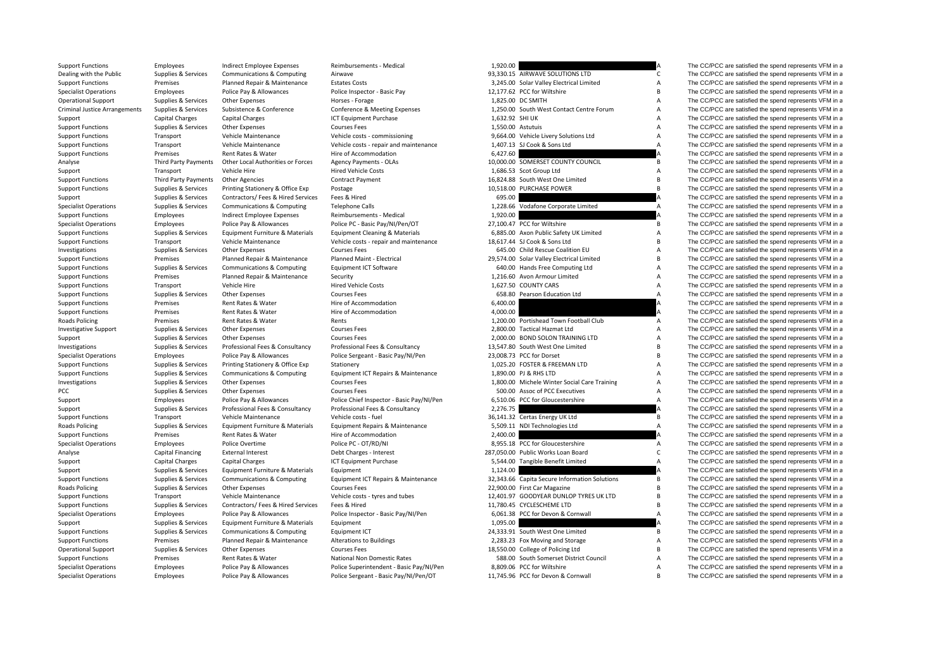| Support Functions                    | Employees                | Indirect Employee Expenses                             | Reimbursements - Medical                  | 1,920.00        |                                               |                | The CC/PCC are satisfied the spend represents VFM in a |
|--------------------------------------|--------------------------|--------------------------------------------------------|-------------------------------------------|-----------------|-----------------------------------------------|----------------|--------------------------------------------------------|
| Dealing with the Public              | Supplies & Services      | Communications & Computing                             | Airwave                                   |                 | 93,330.15 AIRWAVE SOLUTIONS LTD               | C              | The CC/PCC are satisfied the spend represents VFM in a |
| <b>Support Functions</b>             | Premises                 | Planned Repair & Maintenance                           | <b>Estates Costs</b>                      |                 | 3,245.00 Solar Valley Electrical Limited      | A              | The CC/PCC are satisfied the spend represents VFM in a |
| <b>Specialist Operations</b>         | Employees                | Police Pay & Allowances                                | Police Inspector - Basic Pay              |                 | 12,177.62 PCC for Wiltshire                   | B              | The CC/PCC are satisfied the spend represents VFM in a |
| <b>Operational Support</b>           | Supplies & Services      | <b>Other Expenses</b>                                  | Horses - Forage                           |                 | 1,825.00 DC SMITH                             | A              | The CC/PCC are satisfied the spend represents VFM in a |
| <b>Criminal Justice Arrangements</b> | Supplies & Services      | Subsistence & Conference                               | Conference & Meeting Expenses             |                 | 1,250.00 South West Contact Centre Forum      | A              | The CC/PCC are satisfied the spend represents VFM in a |
| Support                              | <b>Capital Charges</b>   | <b>Capital Charges</b>                                 | ICT Equipment Purchase                    | 1,632.92 SHI UK |                                               | A              | The CC/PCC are satisfied the spend represents VFM in a |
| <b>Support Functions</b>             | Supplies & Services      | <b>Other Expenses</b>                                  | <b>Courses Fees</b>                       |                 | 1,550.00 Astutuis                             | $\overline{A}$ | The CC/PCC are satisfied the spend represents VFM in a |
| <b>Support Functions</b>             | Transport                | Vehicle Maintenance                                    | Vehicle costs - commissioning             |                 | 9,664.00 Vehicle Livery Solutions Ltd         | A              | The CC/PCC are satisfied the spend represents VFM in a |
| <b>Support Functions</b>             | Transport                | Vehicle Maintenance                                    | Vehicle costs - repair and maintenance    |                 | 1,407.13 SJ Cook & Sons Ltd                   | A              | The CC/PCC are satisfied the spend represents VFM in a |
| <b>Support Functions</b>             | Premises                 | Rent Rates & Water                                     | Hire of Accommodation                     | 6,427.60        |                                               |                | The CC/PCC are satisfied the spend represents VFM in a |
| Analyse                              | Third Party Payments     | Other Local Authorities or Forces                      | <b>Agency Payments - OLAs</b>             |                 | 10,000.00 SOMERSET COUNTY COUNCIL             | B              | The CC/PCC are satisfied the spend represents VFM in a |
| Support                              | Transport                | Vehicle Hire                                           | <b>Hired Vehicle Costs</b>                |                 | 1,686.53 Scot Group Ltd                       | A              | The CC/PCC are satisfied the spend represents VFM in a |
| <b>Support Functions</b>             | Third Party Payments     | <b>Other Agencies</b>                                  | <b>Contract Payment</b>                   |                 | 16,824.88 South West One Limited              | B              | The CC/PCC are satisfied the spend represents VFM in a |
| <b>Support Functions</b>             | Supplies & Services      | Printing Stationery & Office Exp                       | Postage                                   |                 | 10,518.00 PURCHASE POWER                      | <b>B</b>       | The CC/PCC are satisfied the spend represents VFM in a |
| Support                              | Supplies & Services      | Contractors/ Fees & Hired Services                     | Fees & Hired                              | 695.00          |                                               |                | The CC/PCC are satisfied the spend represents VFM in a |
|                                      | Supplies & Services      | Communications & Computing                             | <b>Telephone Calls</b>                    |                 | 1,228.66 Vodafone Corporate Limited           | A              | The CC/PCC are satisfied the spend represents VFM in a |
| <b>Specialist Operations</b>         |                          |                                                        |                                           | 1,920.00        |                                               |                |                                                        |
| <b>Support Functions</b>             | Employees                | Indirect Employee Expenses                             | Reimbursements - Medical                  |                 |                                               | B              | The CC/PCC are satisfied the spend represents VFM in a |
| <b>Specialist Operations</b>         | Employees                | Police Pay & Allowances                                | Police PC - Basic Pay/NI/Pen/OT           |                 | 27,100.47 PCC for Wiltshire                   |                | The CC/PCC are satisfied the spend represents VFM in a |
| <b>Support Functions</b>             | Supplies & Services      | Equipment Furniture & Materials<br>Vehicle Maintenance | <b>Equipment Cleaning &amp; Materials</b> |                 | 6,885.00 Axon Public Safety UK Limited        | A<br><b>B</b>  | The CC/PCC are satisfied the spend represents VFM in a |
| <b>Support Functions</b>             | Transport                |                                                        | Vehicle costs - repair and maintenance    |                 | 18,617.44 SJ Cook & Sons Ltd                  |                | The CC/PCC are satisfied the spend represents VFM in a |
| Investigations                       | Supplies & Services      | <b>Other Expenses</b>                                  | <b>Courses Fees</b>                       |                 | 645.00 Child Rescue Coalition EU              | $\overline{A}$ | The CC/PCC are satisfied the spend represents VFM in a |
| <b>Support Functions</b>             | Premises                 | Planned Repair & Maintenance                           | Planned Maint - Electrical                |                 | 29,574.00 Solar Valley Electrical Limited     | $\overline{B}$ | The CC/PCC are satisfied the spend represents VFM in a |
| <b>Support Functions</b>             | Supplies & Services      | Communications & Computing                             | <b>Equipment ICT Software</b>             |                 | 640.00 Hands Free Computing Ltd               | A              | The CC/PCC are satisfied the spend represents VFM in a |
| <b>Support Functions</b>             | Premises                 | Planned Repair & Maintenance                           | Security                                  |                 | 1.216.60 Avon Armour Limited                  | A              | The CC/PCC are satisfied the spend represents VFM in a |
| <b>Support Functions</b>             | Transport                | Vehicle Hire                                           | <b>Hired Vehicle Costs</b>                |                 | 1,627.50 COUNTY CARS                          | A              | The CC/PCC are satisfied the spend represents VFM in a |
| <b>Support Functions</b>             | Supplies & Services      | Other Expenses                                         | <b>Courses Fees</b>                       |                 | 658.80 Pearson Education Ltd                  | A              | The CC/PCC are satisfied the spend represents VFM in a |
| <b>Support Functions</b>             | Premises                 | Rent Rates & Water                                     | Hire of Accommodation                     | 6,400.00        |                                               | A              | The CC/PCC are satisfied the spend represents VFM in a |
| <b>Support Functions</b>             | Premises                 | Rent Rates & Water                                     | Hire of Accommodation                     | 4,000.00        |                                               |                | The CC/PCC are satisfied the spend represents VFM in a |
| <b>Roads Policing</b>                | Premises                 | Rent Rates & Water                                     | Rents                                     |                 | 1,200.00 Portishead Town Football Club        | A              | The CC/PCC are satisfied the spend represents VFM in a |
| <b>Investigative Support</b>         | Supplies & Services      | <b>Other Expenses</b>                                  | <b>Courses Fees</b>                       |                 | 2,800.00 Tactical Hazmat Ltd                  | A              | The CC/PCC are satisfied the spend represents VFM in a |
| Support                              | Supplies & Services      | <b>Other Expenses</b>                                  | <b>Courses Fees</b>                       |                 | 2,000.00 BOND SOLON TRAINING LTD              | A              | The CC/PCC are satisfied the spend represents VFM in a |
| Investigations                       | Supplies & Services      | Professional Fees & Consultancy                        | Professional Fees & Consultancy           |                 | 13,547.80 South West One Limited              | <b>B</b>       | The CC/PCC are satisfied the spend represents VFM in a |
| <b>Specialist Operations</b>         | Employees                | Police Pay & Allowances                                | Police Sergeant - Basic Pay/NI/Pen        |                 | 23,008.73 PCC for Dorset                      | B              | The CC/PCC are satisfied the spend represents VFM in a |
| <b>Support Functions</b>             | Supplies & Services      | Printing Stationery & Office Exp                       | Stationery                                |                 | 1,025.20 FOSTER & FREEMAN LTD                 | A              | The CC/PCC are satisfied the spend represents VFM in a |
| <b>Support Functions</b>             | Supplies & Services      | Communications & Computing                             | Equipment ICT Repairs & Maintenance       |                 | 1,890.00 PJ & RHS LTD                         | A              | The CC/PCC are satisfied the spend represents VFM in a |
| Investigations                       | Supplies & Services      | Other Expenses                                         | <b>Courses Fees</b>                       |                 | 1,800.00 Michele Winter Social Care Training  | A              | The CC/PCC are satisfied the spend represents VFM in a |
| PCC                                  | Supplies & Services      | Other Expenses                                         | <b>Courses Fees</b>                       |                 | 500.00 Assoc of PCC Executives                | A              | The CC/PCC are satisfied the spend represents VFM in a |
| Support                              | Employees                | Police Pay & Allowances                                | Police Chief Inspector - Basic Pay/NI/Pen |                 | 6,510.06 PCC for Gloucestershire              | $\overline{A}$ | The CC/PCC are satisfied the spend represents VFM in a |
| Support                              | Supplies & Services      | Professional Fees & Consultancy                        | Professional Fees & Consultancy           | 2,276.75        |                                               |                | The CC/PCC are satisfied the spend represents VFM in a |
| <b>Support Functions</b>             | Transport                | Vehicle Maintenance                                    | Vehicle costs - fuel                      |                 | 36,141.32 Certas Energy UK Ltd                | B              | The CC/PCC are satisfied the spend represents VFM in a |
| <b>Roads Policing</b>                | Supplies & Services      | Equipment Furniture & Materials                        | Equipment Repairs & Maintenance           |                 | 5,509.11 NDI Technologies Ltd                 | A              | The CC/PCC are satisfied the spend represents VFM in a |
| <b>Support Functions</b>             | Premises                 | Rent Rates & Water                                     | Hire of Accommodation                     | 2,400.00        |                                               |                | The CC/PCC are satisfied the spend represents VFM in a |
| <b>Specialist Operations</b>         | Employees                | Police Overtime                                        | Police PC - OT/RD/NI                      |                 | 8,955.18 PCC for Gloucestershire              | A              | The CC/PCC are satisfied the spend represents VFM in a |
| Analyse                              | <b>Capital Financing</b> | <b>External Interest</b>                               | Debt Charges - Interest                   |                 | 287,050.00 Public Works Loan Board            | $\mathsf{C}$   | The CC/PCC are satisfied the spend represents VFM in a |
| Support                              | <b>Capital Charges</b>   | <b>Capital Charges</b>                                 | ICT Equipment Purchase                    |                 | 5,544.00 Tangible Benefit Limited             | A              | The CC/PCC are satisfied the spend represents VFM in a |
| Support                              | Supplies & Services      | Equipment Furniture & Materials                        | Equipment                                 | 1,124.00        |                                               |                | The CC/PCC are satisfied the spend represents VFM in a |
| <b>Support Functions</b>             | Supplies & Services      | Communications & Computing                             | Equipment ICT Repairs & Maintenance       |                 | 32,343.66 Capita Secure Information Solutions | B              | The CC/PCC are satisfied the spend represents VFM in a |
| <b>Roads Policing</b>                | Supplies & Services      | <b>Other Expenses</b>                                  | <b>Courses Fees</b>                       |                 | 22,900.00 First Car Magazine                  | <b>B</b>       | The CC/PCC are satisfied the spend represents VFM in a |
| <b>Support Functions</b>             | Transport                | Vehicle Maintenance                                    | Vehicle costs - tyres and tubes           |                 | 12,401.97 GOODYEAR DUNLOP TYRES UK LTD        | $\overline{B}$ | The CC/PCC are satisfied the spend represents VFM in a |
| <b>Support Functions</b>             | Supplies & Services      | Contractors/ Fees & Hired Services                     | Fees & Hired                              |                 | 11,780.45 CYCLESCHEME LTD                     | B              | The CC/PCC are satisfied the spend represents VFM in a |
| <b>Specialist Operations</b>         | Employees                | Police Pay & Allowances                                | Police Inspector - Basic Pay/NI/Pen       |                 | 6,061.38 PCC for Devon & Cornwall             | A              | The CC/PCC are satisfied the spend represents VFM in a |
| Support                              | Supplies & Services      | Equipment Furniture & Materials                        | Equipment                                 | 1,095.00        |                                               |                | The CC/PCC are satisfied the spend represents VFM in a |
| <b>Support Functions</b>             | Supplies & Services      | Communications & Computing                             | Equipment ICT                             |                 | 24,333.91 South West One Limited              | B              | The CC/PCC are satisfied the spend represents VFM in a |
| <b>Support Functions</b>             | Premises                 | Planned Repair & Maintenance                           | <b>Alterations to Buildings</b>           |                 | 2,283.23 Fox Moving and Storage               | A              | The CC/PCC are satisfied the spend represents VFM in a |
| <b>Operational Support</b>           | Supplies & Services      | Other Expenses                                         | <b>Courses Fees</b>                       |                 | 18,550.00 College of Policing Ltd             | B              | The CC/PCC are satisfied the spend represents VFM in a |
| <b>Support Functions</b>             | Premises                 | Rent Rates & Water                                     | National Non Domestic Rates               |                 | 588.00 South Somerset District Council        | $\overline{A}$ | The CC/PCC are satisfied the spend represents VFM in a |
| <b>Specialist Operations</b>         | Employees                | Police Pay & Allowances                                | Police Superintendent - Basic Pay/NI/Pen  |                 | 8.809.06 PCC for Wiltshire                    | A              | The CC/PCC are satisfied the spend represents VFM in a |
|                                      |                          |                                                        |                                           |                 |                                               |                |                                                        |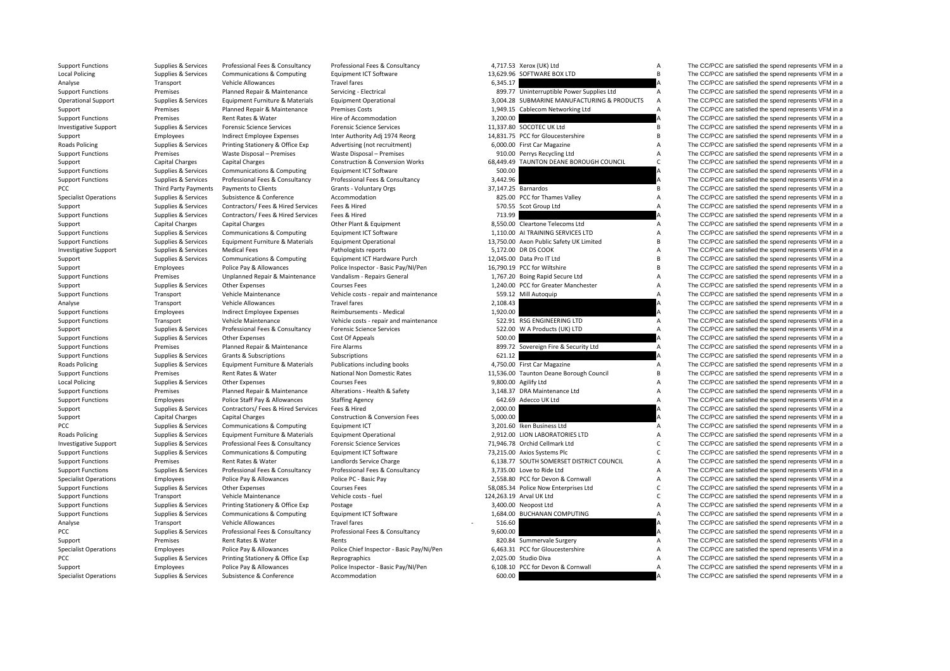| <b>Support Functions</b>     | Supplies & Services         | Professional Fees & Consultancy    | Professional Fees & Consultancy            |          | 4,717.53 Xerox (UK) Ltd                     | A                         | The CC/PCC are satisfied the spend represents VFM in a |
|------------------------------|-----------------------------|------------------------------------|--------------------------------------------|----------|---------------------------------------------|---------------------------|--------------------------------------------------------|
| <b>Local Policing</b>        | Supplies & Services         | Communications & Computing         | Equipment ICT Software                     |          | 13,629.96 SOFTWARE BOX LTD                  | B                         | The CC/PCC are satisfied the spend represents VFM in a |
| Analyse                      | Transport                   | Vehicle Allowances                 | <b>Travel fares</b>                        | 6,345.17 |                                             | A                         | The CC/PCC are satisfied the spend represents VFM in a |
| <b>Support Functions</b>     | Premises                    | Planned Repair & Maintenance       | Servicing - Electrical                     |          | 899.77 Uninterruptible Power Supplies Ltd   | A                         | The CC/PCC are satisfied the spend represents VFM in a |
| <b>Operational Support</b>   | Supplies & Services         | Equipment Furniture & Materials    | <b>Equipment Operational</b>               |          | 3,004.28 SUBMARINE MANUFACTURING & PRODUCTS | $\boldsymbol{\mathsf{A}}$ | The CC/PCC are satisfied the spend represents VFM in a |
| Support                      | Premises                    | Planned Repair & Maintenance       | <b>Premises Costs</b>                      |          | 1,949.15 Cablecom Networking Ltd            | $\overline{A}$            | The CC/PCC are satisfied the spend represents VFM in a |
| <b>Support Functions</b>     | Premises                    | Rent Rates & Water                 | Hire of Accommodation                      | 3,200.00 |                                             | A                         | The CC/PCC are satisfied the spend represents VFM in a |
| <b>Investigative Support</b> | Supplies & Services         | <b>Forensic Science Services</b>   | <b>Forensic Science Services</b>           |          | 11,337.80 SOCOTEC UK Ltd                    | B                         | The CC/PCC are satisfied the spend represents VFM in a |
|                              | Employees                   | Indirect Employee Expenses         | Inter Authority Adj 1974 Reorg             |          | 14,831.75 PCC for Gloucestershire           | B                         | The CC/PCC are satisfied the spend represents VFM in a |
| Support                      |                             |                                    |                                            |          |                                             | $\boldsymbol{\mathsf{A}}$ |                                                        |
| Roads Policing               | Supplies & Services         | Printing Stationery & Office Exp   | Advertising (not recruitment)              |          | 6,000.00 First Car Magazine                 | $\overline{A}$            | The CC/PCC are satisfied the spend represents VFM in a |
| <b>Support Functions</b>     | Premises                    | Waste Disposal - Premises          | Waste Disposal - Premises                  |          | 910.00 Perrys Recycling Ltd                 |                           | The CC/PCC are satisfied the spend represents VFM in a |
| Support                      | Capital Charges             | <b>Capital Charges</b>             | <b>Construction &amp; Conversion Works</b> |          | 68,449.49 TAUNTON DEANE BOROUGH COUNCIL     | $\mathsf{C}$              | The CC/PCC are satisfied the spend represents VFM in a |
| <b>Support Functions</b>     | Supplies & Services         | Communications & Computing         | Equipment ICT Software                     | 500.00   |                                             | A                         | The CC/PCC are satisfied the spend represents VFM in a |
| <b>Support Functions</b>     | Supplies & Services         | Professional Fees & Consultancy    | Professional Fees & Consultancy            | 3,442.96 |                                             | $\overline{A}$            | The CC/PCC are satisfied the spend represents VFM in a |
| PCC                          | <b>Third Party Payments</b> | Payments to Clients                | Grants - Voluntary Orgs                    |          | 37,147.25 Barnardos                         | B                         | The CC/PCC are satisfied the spend represents VFM in a |
| <b>Specialist Operations</b> | Supplies & Services         | Subsistence & Conference           | Accommodation                              |          | 825.00 PCC for Thames Valley                | A                         | The CC/PCC are satisfied the spend represents VFM in a |
| Support                      | Supplies & Services         | Contractors/ Fees & Hired Services | Fees & Hired                               |          | 570.55 Scot Group Ltd                       | A                         | The CC/PCC are satisfied the spend represents VFM in a |
| <b>Support Functions</b>     | Supplies & Services         | Contractors/ Fees & Hired Services | Fees & Hired                               | 713.99   |                                             |                           | The CC/PCC are satisfied the spend represents VFM in a |
| Support                      | Capital Charges             | <b>Capital Charges</b>             | Other Plant & Equipment                    |          | 8,550.00 Cleartone Telecoms Ltd             | A                         | The CC/PCC are satisfied the spend represents VFM in a |
| <b>Support Functions</b>     | Supplies & Services         | Communications & Computing         | Equipment ICT Software                     |          | 1,110.00 AI TRAINING SERVICES LTD           | $\boldsymbol{\mathsf{A}}$ | The CC/PCC are satisfied the spend represents VFM in a |
| <b>Support Functions</b>     | Supplies & Services         | Equipment Furniture & Materials    | <b>Equipment Operational</b>               |          | 13,750.00 Axon Public Safety UK Limited     | $\overline{B}$            | The CC/PCC are satisfied the spend represents VFM in a |
| <b>Investigative Support</b> | Supplies & Services         | <b>Medical Fees</b>                | Pathologists reports                       |          | 5,172.00 DR DS COOK                         | $\overline{A}$            | The CC/PCC are satisfied the spend represents VFM in a |
| Support                      | Supplies & Services         | Communications & Computing         | Equipment ICT Hardware Purch               |          | 12,045.00 Data Pro IT Ltd                   | $\overline{B}$            | The CC/PCC are satisfied the spend represents VFM in a |
| Support                      | Employees                   | Police Pay & Allowances            | Police Inspector - Basic Pay/NI/Pen        |          | 16,790.19 PCC for Wiltshire                 | $\overline{B}$            | The CC/PCC are satisfied the spend represents VFM in a |
| <b>Support Functions</b>     | Premises                    | Unplanned Repair & Maintenance     | Vandalism - Repairs General                |          | 1,767.20 Boing Rapid Secure Ltd             | A                         | The CC/PCC are satisfied the spend represents VFM in a |
|                              | Supplies & Services         | Other Expenses                     | <b>Courses Fees</b>                        |          | 1,240.00 PCC for Greater Manchester         | A                         | The CC/PCC are satisfied the spend represents VFM in a |
| Support                      |                             |                                    |                                            |          |                                             | $\boldsymbol{\mathsf{A}}$ |                                                        |
| <b>Support Functions</b>     | Transport                   | Vehicle Maintenance                | Vehicle costs - repair and maintenance     |          | 559.12 Mill Autoquip                        |                           | The CC/PCC are satisfied the spend represents VFM in a |
| Analyse                      | Transport                   | Vehicle Allowances                 | <b>Travel fares</b>                        | 2,108.43 |                                             | A                         | The CC/PCC are satisfied the spend represents VFM in a |
| <b>Support Functions</b>     | Employees                   | <b>Indirect Employee Expenses</b>  | Reimbursements - Medical                   | 1,920.00 |                                             | A                         | The CC/PCC are satisfied the spend represents VFM in a |
| <b>Support Functions</b>     | Transport                   | Vehicle Maintenance                | Vehicle costs - repair and maintenance     |          | 522.91 RSG ENGINEERING LTD                  | A                         | The CC/PCC are satisfied the spend represents VFM in a |
| Support                      | Supplies & Services         | Professional Fees & Consultancy    | <b>Forensic Science Services</b>           |          | 522.00 W A Products (UK) LTD                | Α                         | The CC/PCC are satisfied the spend represents VFM in a |
| <b>Support Functions</b>     | Supplies & Services         | <b>Other Expenses</b>              | Cost Of Appeals                            | 500.00   |                                             |                           | The CC/PCC are satisfied the spend represents VFM in a |
| <b>Support Functions</b>     | Premises                    | Planned Repair & Maintenance       | Fire Alarms                                |          | 899.72 Sovereign Fire & Security Ltd        | $\boldsymbol{\mathsf{A}}$ | The CC/PCC are satisfied the spend represents VFM in a |
| <b>Support Functions</b>     | Supplies & Services         | Grants & Subscriptions             | Subscriptions                              | 621.12   |                                             |                           | The CC/PCC are satisfied the spend represents VFM in a |
| Roads Policing               | Supplies & Services         | Equipment Furniture & Materials    | Publications including books               |          | 4,750.00 First Car Magazine                 | $\overline{A}$            | The CC/PCC are satisfied the spend represents VFM in a |
| <b>Support Functions</b>     | Premises                    | Rent Rates & Water                 | <b>National Non Domestic Rates</b>         |          | 11,536.00 Taunton Deane Borough Council     | B                         | The CC/PCC are satisfied the spend represents VFM in a |
| <b>Local Policing</b>        | Supplies & Services         | Other Expenses                     | <b>Courses Fees</b>                        |          | 9,800.00 Agilify Ltd                        | $\boldsymbol{\mathsf{A}}$ | The CC/PCC are satisfied the spend represents VFM in a |
| <b>Support Functions</b>     | Premises                    | Planned Repair & Maintenance       | Alterations - Health & Safety              |          | 3,148.37 DRA Maintenance Ltd                | A                         | The CC/PCC are satisfied the spend represents VFM in a |
| <b>Support Functions</b>     | Employees                   | Police Staff Pay & Allowances      | <b>Staffing Agency</b>                     |          | 642.69 Adecco UK Ltd                        | $\boldsymbol{\mathsf{A}}$ | The CC/PCC are satisfied the spend represents VFM in a |
| Support                      | Supplies & Services         | Contractors/ Fees & Hired Services | Fees & Hired                               | 2,000.00 |                                             | A                         | The CC/PCC are satisfied the spend represents VFM in a |
| Support                      | Capital Charges             | <b>Capital Charges</b>             | <b>Construction &amp; Conversion Fees</b>  | 5,000.00 |                                             | $\overline{A}$            | The CC/PCC are satisfied the spend represents VFM in a |
| PCC                          | Supplies & Services         | Communications & Computing         | Equipment ICT                              |          | 3.201.60 Iken Business Ltd                  | $\overline{A}$            | The CC/PCC are satisfied the spend represents VFM in a |
| <b>Roads Policing</b>        | Supplies & Services         | Equipment Furniture & Materials    | <b>Equipment Operational</b>               |          | 2.912.00 LION LABORATORIES LTD              | A                         | The CC/PCC are satisfied the spend represents VFM in a |
| <b>Investigative Support</b> | Supplies & Services         | Professional Fees & Consultancy    | <b>Forensic Science Services</b>           |          | 71,946.78 Orchid Cellmark Ltd               | $\mathsf{C}$              | The CC/PCC are satisfied the spend represents VFM in a |
|                              |                             |                                    |                                            |          |                                             | $\mathsf{C}$              |                                                        |
| <b>Support Functions</b>     | Supplies & Services         | Communications & Computing         | Equipment ICT Software                     |          | 73,215.00 Axios Systems Plc                 |                           | The CC/PCC are satisfied the spend represents VFM in a |
| <b>Support Functions</b>     | Premises                    | Rent Rates & Water                 | Landlords Service Charge                   |          | 6,138.77 SOUTH SOMERSET DISTRICT COUNCIL    | $\boldsymbol{\mathsf{A}}$ | The CC/PCC are satisfied the spend represents VFM in a |
| <b>Support Functions</b>     | Supplies & Services         | Professional Fees & Consultancy    | Professional Fees & Consultancy            |          | 3,735.00 Love to Ride Ltd                   | $\boldsymbol{\mathsf{A}}$ | The CC/PCC are satisfied the spend represents VFM in a |
| <b>Specialist Operations</b> | Employees                   | Police Pay & Allowances            | Police PC - Basic Pay                      |          | 2,558.80 PCC for Devon & Cornwall           | $\boldsymbol{\mathsf{A}}$ | The CC/PCC are satisfied the spend represents VFM in a |
| <b>Support Functions</b>     | Supplies & Services         | <b>Other Expenses</b>              | <b>Courses Fees</b>                        |          | 58,085.34 Police Now Enterprises Ltd        | $\mathsf{C}$              | The CC/PCC are satisfied the spend represents VFM in a |
| <b>Support Functions</b>     | Transport                   | Vehicle Maintenance                | Vehicle costs - fuel                       |          | 124,263.19 Arval UK Ltd                     | $\mathsf{C}$              | The CC/PCC are satisfied the spend represents VFM in a |
| <b>Support Functions</b>     | Supplies & Services         | Printing Stationery & Office Exp   | Postage                                    |          | 3,400.00 Neopost Ltd                        | $\overline{A}$            | The CC/PCC are satisfied the spend represents VFM in a |
| <b>Support Functions</b>     | Supplies & Services         | Communications & Computing         | Equipment ICT Software                     |          | 1,684.00 BUCHANAN COMPUTING                 | A                         | The CC/PCC are satisfied the spend represents VFM in a |
| Analyse                      | Transport                   | Vehicle Allowances                 | <b>Travel fares</b>                        | 516.60   |                                             | A                         | The CC/PCC are satisfied the spend represents VFM in a |
| PCC                          | Supplies & Services         | Professional Fees & Consultancy    | Professional Fees & Consultancy            | 9,600.00 |                                             | A                         | The CC/PCC are satisfied the spend represents VFM in a |
| Support                      | Premises                    | Rent Rates & Water                 | Rents                                      |          | 820.84 Summervale Surgery                   | A                         | The CC/PCC are satisfied the spend represents VFM in a |
| <b>Specialist Operations</b> | Employees                   | Police Pay & Allowances            | Police Chief Inspector - Basic Pay/Ni/Pen  |          | 6,463.31 PCC for Gloucestershire            | $\boldsymbol{\mathsf{A}}$ | The CC/PCC are satisfied the spend represents VFM in a |
| PCC                          | Supplies & Services         | Printing Stationery & Office Exp   | Reprographics                              |          | 2.025.00 Studio Diva                        | $\boldsymbol{\mathsf{A}}$ | The CC/PCC are satisfied the spend represents VFM in a |
| Support                      | Employees                   | Police Pay & Allowances            | Police Inspector - Basic Pay/NI/Pen        |          | 6.108.10 PCC for Devon & Cornwall           | $\overline{A}$            | The CC/PCC are satisfied the spend represents VFM in a |
|                              |                             |                                    |                                            |          |                                             |                           |                                                        |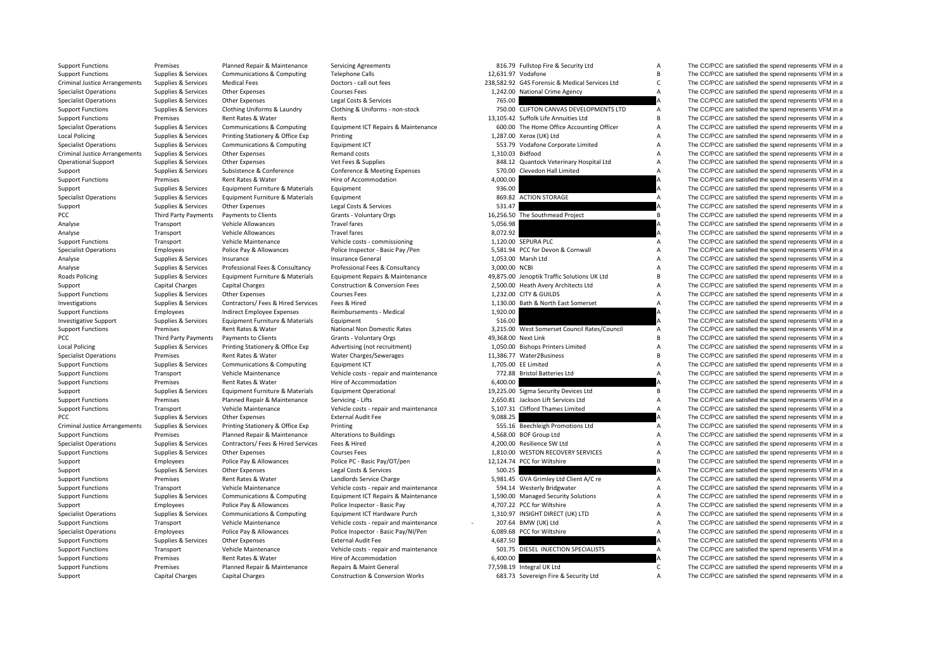| <b>Support Functions</b>                             |                        | r iaillicu Rcball ox ivialitchaficc | JEI VILING ASIEEI                         |               | old. J J Lanstop The & Security                |                | THE OOT OU AIR SANSHEY LIFE SPEIN TEPIESEHIS VI IVI III C |
|------------------------------------------------------|------------------------|-------------------------------------|-------------------------------------------|---------------|------------------------------------------------|----------------|-----------------------------------------------------------|
| <b>Support Functions</b>                             | Supplies & Services    | Communications & Computing          | <b>Telephone Calls</b>                    |               | 12.631.97 Vodafone                             | <b>B</b>       | The CC/PCC are satisfied the spend represents VFM in a    |
| <b>Criminal Justice Arrangements</b>                 | Supplies & Services    | <b>Medical Fees</b>                 | Doctors - call out fees                   |               | 238.582.92 G4S Forensic & Medical Services Ltd | $\mathsf{C}$   | The CC/PCC are satisfied the spend represents VFM in a    |
| <b>Specialist Operations</b>                         | Supplies & Services    | Other Expenses                      | <b>Courses Fees</b>                       |               | 1,242.00 National Crime Agency                 | A              | The CC/PCC are satisfied the spend represents VFM in a    |
| <b>Specialist Operations</b>                         | Supplies & Services    | <b>Other Expenses</b>               | Legal Costs & Services                    | 765.00        |                                                |                | The CC/PCC are satisfied the spend represents VFM in a    |
| <b>Support Functions</b>                             | Supplies & Services    | Clothing Uniforms & Laundry         | Clothing & Uniforms - non-stock           |               | 750.00 CLIFTON CANVAS DEVELOPMENTS LTD         | A              | The CC/PCC are satisfied the spend represents VFM in a    |
| <b>Support Functions</b>                             | Premises               | Rent Rates & Water                  | Rents                                     |               | 13.105.42 Suffolk Life Annuities Ltd           | <b>B</b>       | The CC/PCC are satisfied the spend represents VFM in a    |
| <b>Specialist Operations</b>                         | Supplies & Services    | Communications & Computing          | Equipment ICT Repairs & Maintenance       |               | 600.00 The Home Office Accounting Officer      | A              | The CC/PCC are satisfied the spend represents VFM in a    |
| <b>Local Policing</b>                                | Supplies & Services    | Printing Stationery & Office Exp    | Printing                                  |               | 1,287.00 Xerox (UK) Ltd                        | $\overline{A}$ | The CC/PCC are satisfied the spend represents VFM in a    |
| <b>Specialist Operations</b>                         | Supplies & Services    | Communications & Computing          | Equipment ICT                             |               | 553.79 Vodafone Corporate Limited              | $\overline{A}$ | The CC/PCC are satisfied the spend represents VFM in a    |
| <b>Criminal Justice Arrangements</b>                 | Supplies & Services    | <b>Other Expenses</b>               | Remand costs                              |               | 1,310.03 Bidfood                               | A              | The CC/PCC are satisfied the spend represents VFM in a    |
| <b>Operational Support</b>                           | Supplies & Services    | Other Expenses                      | Vet Fees & Supplies                       |               | 848.12 Quantock Veterinary Hospital Ltd        | A              | The CC/PCC are satisfied the spend represents VFM in a    |
| Support                                              | Supplies & Services    | Subsistence & Conference            | Conference & Meeting Expenses             |               | 570.00 Clevedon Hall Limited                   | A              | The CC/PCC are satisfied the spend represents VFM in a    |
| <b>Support Functions</b>                             | Premises               | Rent Rates & Water                  | Hire of Accommodation                     | 4,000.00      |                                                | A              | The CC/PCC are satisfied the spend represents VFM in a    |
| Support                                              | Supplies & Services    | Equipment Furniture & Materials     | Equipment                                 | 936.00        |                                                |                | The CC/PCC are satisfied the spend represents VFM in a    |
| <b>Specialist Operations</b>                         | Supplies & Services    | Equipment Furniture & Materials     | Equipment                                 |               | 869.82 ACTION STORAGE                          | A              | The CC/PCC are satisfied the spend represents VFM in a    |
| Support                                              | Supplies & Services    | Other Expenses                      | Legal Costs & Services                    | 531.47        |                                                |                | The CC/PCC are satisfied the spend represents VFM in a    |
| PCC                                                  | Third Party Payments   | Payments to Clients                 | Grants - Voluntary Orgs                   |               | 16,256.50 The Southmead Project                | B              | The CC/PCC are satisfied the spend represents VFM in a    |
| Analyse                                              | Transport              | Vehicle Allowances                  | Travel fares                              | 5,056.98      |                                                |                | The CC/PCC are satisfied the spend represents VFM in a    |
| Analyse                                              | Transport              | Vehicle Allowances                  | <b>Travel fares</b>                       | 8,072.92      |                                                |                | The CC/PCC are satisfied the spend represents VFM in a    |
| <b>Support Functions</b>                             | Transport              | Vehicle Maintenance                 | Vehicle costs - commissioning             |               | 1,120.00 SEPURA PLC                            | A              | The CC/PCC are satisfied the spend represents VFM in a    |
| <b>Specialist Operations</b>                         | Employees              | Police Pay & Allowances             | Police Inspector - Basic Pay /Pen         |               | 5,581.94 PCC for Devon & Cornwall              | А              | The CC/PCC are satisfied the spend represents VFM in a    |
| Analyse                                              | Supplies & Services    | Insurance                           | Insurance General                         |               | 1,053.00 Marsh Ltd                             | A              | The CC/PCC are satisfied the spend represents VFM in a    |
| Analyse                                              | Supplies & Services    | Professional Fees & Consultancy     | Professional Fees & Consultancy           | 3,000.00 NCBI |                                                | A              | The CC/PCC are satisfied the spend represents VFM in a    |
| Roads Policing                                       | Supplies & Services    | Equipment Furniture & Materials     | Equipment Repairs & Maintenance           |               | 49,875.00 Jenoptik Traffic Solutions UK Ltd    | B              | The CC/PCC are satisfied the spend represents VFM in a    |
| Support                                              | <b>Capital Charges</b> | <b>Capital Charges</b>              | <b>Construction &amp; Conversion Fees</b> |               | 2,500.00 Heath Avery Architects Ltd            | A              | The CC/PCC are satisfied the spend represents VFM in a    |
| <b>Support Functions</b>                             | Supplies & Services    | Other Expenses                      | <b>Courses Fees</b>                       |               | 1,232.00 CITY & GUILDS                         | A              | The CC/PCC are satisfied the spend represents VFM in a    |
| Investigations                                       | Supplies & Services    | Contractors/ Fees & Hired Services  | Fees & Hired                              |               | 1,130.00 Bath & North East Somerset            | A              | The CC/PCC are satisfied the spend represents VFM in a    |
| <b>Support Functions</b>                             | Employees              | Indirect Employee Expenses          | Reimbursements - Medical                  | 1,920.00      |                                                |                | The CC/PCC are satisfied the spend represents VFM in a    |
| <b>Investigative Support</b>                         | Supplies & Services    | Equipment Furniture & Materials     | Equipment                                 | 516.00        |                                                | А              | The CC/PCC are satisfied the spend represents VFM in a    |
| <b>Support Functions</b>                             | Premises               | Rent Rates & Water                  | National Non Domestic Rates               |               | 3,215.00 West Somerset Council Rates/Council   | A              | The CC/PCC are satisfied the spend represents VFM in a    |
| PCC                                                  | Third Party Payments   | Payments to Clients                 | Grants - Voluntary Orgs                   |               | 49.368.00 Next Link                            | <b>B</b>       | The CC/PCC are satisfied the spend represents VFM in a    |
| <b>Local Policing</b>                                | Supplies & Services    | Printing Stationery & Office Exp    | Advertising (not recruitment)             |               | 1,050.00 Bishops Printers Limited              | A              | The CC/PCC are satisfied the spend represents VFM in a    |
| <b>Specialist Operations</b>                         | Premises               | Rent Rates & Water                  | Water Charges/Sewerages                   |               | 11,386.77 Water2Business                       | $\overline{B}$ | The CC/PCC are satisfied the spend represents VFM in a    |
| <b>Support Functions</b>                             | Supplies & Services    | Communications & Computing          | Equipment ICT                             |               | 1.705.00 EE Limited                            | A              | The CC/PCC are satisfied the spend represents VFM in a    |
|                                                      |                        | Vehicle Maintenance                 | Vehicle costs - repair and maintenance    |               | 772.88 Bristol Batteries Ltd                   | A              | The CC/PCC are satisfied the spend represents VFM in a    |
| <b>Support Functions</b><br><b>Support Functions</b> | Transport<br>Premises  | Rent Rates & Water                  | Hire of Accommodation                     | 6,400.00      |                                                |                | The CC/PCC are satisfied the spend represents VFM in a    |
|                                                      |                        |                                     |                                           |               | 19,225.00 Sigma Security Devices Ltd           | B              |                                                           |
| Support                                              | Supplies & Services    | Equipment Furniture & Materials     | <b>Equipment Operational</b>              |               |                                                | A              | The CC/PCC are satisfied the spend represents VFM in a    |
| <b>Support Functions</b>                             | Premises               | Planned Repair & Maintenance        | Servicing - Lifts                         |               | 2,650.81 Jackson Lift Services Ltd             | A              | The CC/PCC are satisfied the spend represents VFM in a    |
| <b>Support Functions</b>                             | Transport              | Vehicle Maintenance                 | Vehicle costs - repair and maintenance    |               | 5,107.31 Clifford Thames Limited               |                | The CC/PCC are satisfied the spend represents VFM in a    |
| PCC                                                  | Supplies & Services    | Other Expenses                      | <b>External Audit Fee</b>                 | 9,088.25      |                                                |                | The CC/PCC are satisfied the spend represents VFM in a    |
| <b>Criminal Justice Arrangements</b>                 | Supplies & Services    | Printing Stationery & Office Exp    | Printing                                  |               | 555.16 Beechleigh Promotions Ltd               | A              | The CC/PCC are satisfied the spend represents VFM in a    |
| <b>Support Functions</b>                             | Premises               | Planned Repair & Maintenance        | Alterations to Buildings                  |               | 4,568.00 BOF Group Ltd                         | A              | The CC/PCC are satisfied the spend represents VFM in a    |
| <b>Specialist Operations</b>                         | Supplies & Services    | Contractors/ Fees & Hired Services  | Fees & Hired                              |               | 4,200.00 Resilience SW Ltd                     | A              | The CC/PCC are satisfied the spend represents VFM in a    |
| <b>Support Functions</b>                             | Supplies & Services    | Other Expenses                      | <b>Courses Fees</b>                       |               | 1,810.00 WESTON RECOVERY SERVICES              | A              | The CC/PCC are satisfied the spend represents VFM in a    |
| Support                                              | Employees              | Police Pay & Allowances             | Police PC - Basic Pay/OT/pen              |               | 12,124.74 PCC for Wiltshire                    | <b>B</b>       | The CC/PCC are satisfied the spend represents VFM in a    |
| Support                                              | Supplies & Services    | Other Expenses                      | Legal Costs & Services                    | 500.25        |                                                |                | The CC/PCC are satisfied the spend represents VFM in a    |
| <b>Support Functions</b>                             | Premises               | Rent Rates & Water                  | Landlords Service Charge                  |               | 5,981.45 GVA Grimley Ltd Client A/C re         | A              | The CC/PCC are satisfied the spend represents VFM in a    |
| <b>Support Functions</b>                             | Transport              | Vehicle Maintenance                 | Vehicle costs - repair and maintenance    |               | 594.14 Westerly Bridgwater                     | A              | The CC/PCC are satisfied the spend represents VFM in a    |
| <b>Support Functions</b>                             | Supplies & Services    | Communications & Computing          | Equipment ICT Repairs & Maintenance       |               | 1,590.00 Managed Security Solutions            | A              | The CC/PCC are satisfied the spend represents VFM in a    |
| Support                                              | Employees              | Police Pay & Allowances             | Police Inspector - Basic Pay              |               | 4,707.22 PCC for Wiltshire                     | A              | The CC/PCC are satisfied the spend represents VFM in a    |
| <b>Specialist Operations</b>                         | Supplies & Services    | Communications & Computing          | Equipment ICT Hardware Purch              |               | 1,310.97 INSIGHT DIRECT (UK) LTD               | A              | The CC/PCC are satisfied the spend represents VFM in a    |
| <b>Support Functions</b>                             | Transport              | Vehicle Maintenance                 | Vehicle costs - repair and maintenance    |               | 207.64 BMW (UK) Ltd                            | A              | The CC/PCC are satisfied the spend represents VFM in a    |
| <b>Specialist Operations</b>                         | Employees              | Police Pay & Allowances             | Police Inspector - Basic Pay/NI/Pen       |               | 6,089.68 PCC for Wiltshire                     | A              | The CC/PCC are satisfied the spend represents VFM in a    |
| <b>Support Functions</b>                             | Supplies & Services    | Other Expenses                      | <b>External Audit Fee</b>                 | 4,687.50      |                                                |                | The CC/PCC are satisfied the spend represents VFM in a    |
| <b>Support Functions</b>                             | Transport              | Vehicle Maintenance                 | Vehicle costs - repair and maintenance    |               | 501.75 DIESEL INJECTION SPECIALISTS            | Α              | The CC/PCC are satisfied the spend represents VFM in a    |
| <b>Support Functions</b>                             | Premises               | Rent Rates & Water                  | Hire of Accommodation                     | 6,400.00      |                                                | A              | The CC/PCC are satisfied the spend represents VFM in a    |
| <b>Support Functions</b>                             | Premises               | Planned Repair & Maintenance        | Repairs & Maint General                   |               | 77,598.19 Integral UK Ltd                      | C              | The CC/PCC are satisfied the spend represents VFM in a    |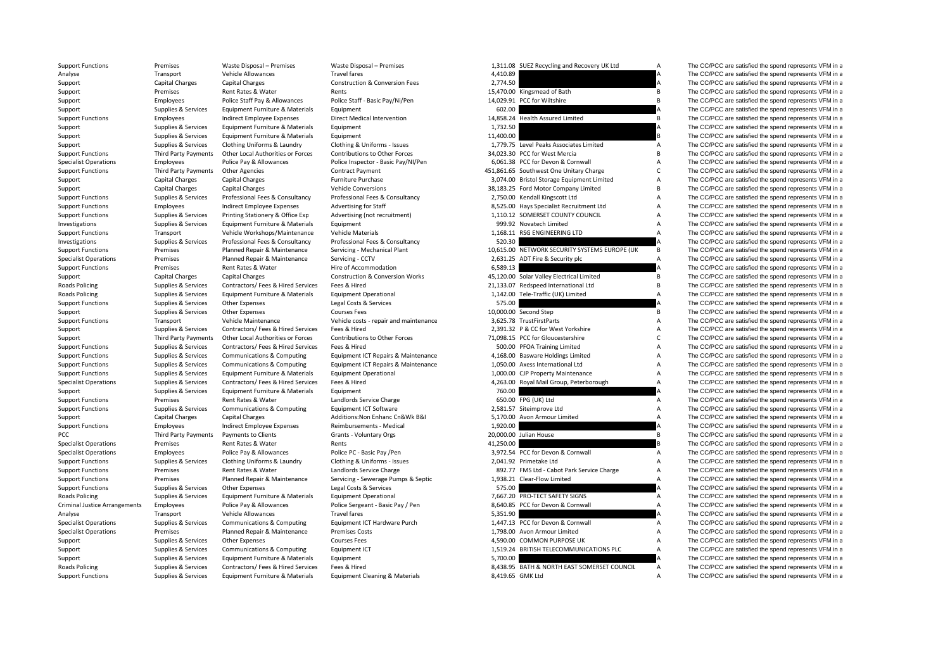| <b>Support Functions</b>             | Premises               | Waste Disposal - Premises          | Waste Disposal - Premises                                  |           | 1,311.08 SUEZ Recycling and Recovery UK Ltd   | A                         | The CC/PCC are satisfied the spend represents VFM in a |
|--------------------------------------|------------------------|------------------------------------|------------------------------------------------------------|-----------|-----------------------------------------------|---------------------------|--------------------------------------------------------|
| Analyse                              | Transport              | Vehicle Allowances                 | <b>Travel fares</b>                                        | 4,410.89  |                                               |                           | The CC/PCC are satisfied the spend represents VFM in a |
| Support                              | Capital Charges        | <b>Capital Charges</b>             | <b>Construction &amp; Conversion Fees</b>                  | 2,774.50  |                                               | A                         | The CC/PCC are satisfied the spend represents VFM in a |
| Support                              | Premises               | Rent Rates & Water                 | Rents                                                      |           | 15,470.00 Kingsmead of Bath                   | B                         | The CC/PCC are satisfied the spend represents VFM in a |
| Support                              | Employees              | Police Staff Pay & Allowances      | Police Staff - Basic Pay/Ni/Pen                            |           | 14,029.91 PCC for Wiltshire                   | B                         | The CC/PCC are satisfied the spend represents VFM in a |
| Support                              | Supplies & Services    | Equipment Furniture & Materials    | Equipment                                                  | 602.00    |                                               | A                         | The CC/PCC are satisfied the spend represents VFM in a |
| <b>Support Functions</b>             | Employees              | Indirect Employee Expenses         | Direct Medical Intervention                                |           | 14,858.24 Health Assured Limited              | B                         | The CC/PCC are satisfied the spend represents VFM in a |
| Support                              | Supplies & Services    | Equipment Furniture & Materials    | Equipment                                                  | 1,732.50  |                                               | A                         | The CC/PCC are satisfied the spend represents VFM in a |
| Support                              | Supplies & Services    | Equipment Furniture & Materials    | Equipment                                                  | 11,400.00 |                                               | <b>B</b>                  | The CC/PCC are satisfied the spend represents VFM in a |
| Support                              | Supplies & Services    | Clothing Uniforms & Laundry        | Clothing & Uniforms - Issues                               |           | 1.779.75 Level Peaks Associates Limited       | $\overline{A}$            | The CC/PCC are satisfied the spend represents VFM in a |
| <b>Support Functions</b>             | Third Party Payments   | Other Local Authorities or Forces  | Contributions to Other Forces                              |           | 34.023.30 PCC for West Mercia                 | $\overline{B}$            | The CC/PCC are satisfied the spend represents VFM in a |
| <b>Specialist Operations</b>         | Employees              | Police Pay & Allowances            | Police Inspector - Basic Pay/NI/Pen                        |           | 6,061.38 PCC for Devon & Cornwall             | A                         | The CC/PCC are satisfied the spend represents VFM in a |
| <b>Support Functions</b>             | Third Party Payments   | Other Agencies                     | <b>Contract Payment</b>                                    |           | 451,861.65 Southwest One Unitary Charge       | $\mathsf{C}$              | The CC/PCC are satisfied the spend represents VFM in a |
| Support                              | <b>Capital Charges</b> | Capital Charges                    | <b>Furniture Purchase</b>                                  |           | 3,074.00 Bristol Storage Equipment Limited    | $\boldsymbol{\mathsf{A}}$ | The CC/PCC are satisfied the spend represents VFM in a |
| Support                              | Capital Charges        | <b>Capital Charges</b>             | <b>Vehicle Conversions</b>                                 |           | 38,183.25 Ford Motor Company Limited          | $\mathsf{B}$              | The CC/PCC are satisfied the spend represents VFM in a |
| <b>Support Functions</b>             | Supplies & Services    | Professional Fees & Consultancy    | Professional Fees & Consultancy                            |           | 2,750.00 Kendall Kingscott Ltd                | A                         | The CC/PCC are satisfied the spend represents VFM in a |
| <b>Support Functions</b>             | Employees              | Indirect Employee Expenses         | Advertising for Staff                                      |           | 8,525.00 Hays Specialist Recruitment Ltd      | A                         | The CC/PCC are satisfied the spend represents VFM in a |
| <b>Support Functions</b>             | Supplies & Services    | Printing Stationery & Office Exp   | Advertising (not recruitment)                              |           | 1,110.12 SOMERSET COUNTY COUNCIL              | $\boldsymbol{\mathsf{A}}$ | The CC/PCC are satisfied the spend represents VFM in a |
| Investigations                       | Supplies & Services    | Equipment Furniture & Materials    | Equipment                                                  |           | 999.92 Novatech Limited                       | $\boldsymbol{\mathsf{A}}$ | The CC/PCC are satisfied the spend represents VFM in a |
| <b>Support Functions</b>             | Transport              | Vehicle Workshops/Maintenance      | Vehicle Materials                                          |           | 1,168.11 RSG ENGINEERING LTD                  | $\overline{A}$            | The CC/PCC are satisfied the spend represents VFM in a |
| Investigations                       | Supplies & Services    | Professional Fees & Consultancy    | Professional Fees & Consultancy                            | 520.30    |                                               |                           | The CC/PCC are satisfied the spend represents VFM in a |
| <b>Support Functions</b>             | Premises               | Planned Repair & Maintenance       | Servicing - Mechanical Plant                               |           | 10,615.00 NETWORK SECURITY SYSTEMS EUROPE (UK | B                         | The CC/PCC are satisfied the spend represents VFM in a |
| <b>Specialist Operations</b>         | Premises               | Planned Repair & Maintenance       | Servicing - CCTV                                           |           | 2,631.25 ADT Fire & Security plc              | $\overline{A}$            | The CC/PCC are satisfied the spend represents VFM in a |
| <b>Support Functions</b>             | Premises               | Rent Rates & Water                 | Hire of Accommodation                                      | 6,589.13  |                                               |                           | The CC/PCC are satisfied the spend represents VFM in a |
|                                      |                        |                                    |                                                            |           |                                               | В                         |                                                        |
| Support                              | <b>Capital Charges</b> | <b>Capital Charges</b>             | <b>Construction &amp; Conversion Works</b><br>Fees & Hired |           | 45,120.00 Solar Valley Electrical Limited     | $\sf{B}$                  | The CC/PCC are satisfied the spend represents VFM in a |
| Roads Policing                       | Supplies & Services    | Contractors/ Fees & Hired Services |                                                            |           | 21,133.07 Redspeed International Ltd          |                           | The CC/PCC are satisfied the spend represents VFM in a |
| <b>Roads Policing</b>                | Supplies & Services    | Equipment Furniture & Materials    | <b>Equipment Operational</b>                               |           | 1,142.00 Tele-Traffic (UK) Limited            | A                         | The CC/PCC are satisfied the spend represents VFM in a |
| <b>Support Functions</b>             | Supplies & Services    | Other Expenses                     | Legal Costs & Services                                     | 575.00    |                                               |                           | The CC/PCC are satisfied the spend represents VFM in a |
| Support                              | Supplies & Services    | Other Expenses                     | <b>Courses Fees</b>                                        |           | 10,000.00 Second Step                         | B                         | The CC/PCC are satisfied the spend represents VFM in a |
| <b>Support Functions</b>             | Transport              | Vehicle Maintenance                | Vehicle costs - repair and maintenance                     |           | 3,625.78 TrustFirstParts                      | $\boldsymbol{\mathsf{A}}$ | The CC/PCC are satisfied the spend represents VFM in a |
| Support                              | Supplies & Services    | Contractors/ Fees & Hired Services | Fees & Hired                                               |           | 2,391.32 P & CC for West Yorkshire            | A                         | The CC/PCC are satisfied the spend represents VFM in a |
| Support                              | Third Party Payments   | Other Local Authorities or Forces  | Contributions to Other Forces                              |           | 71.098.15 PCC for Gloucestershire             | $\mathsf{C}$              | The CC/PCC are satisfied the spend represents VFM in a |
| <b>Support Functions</b>             | Supplies & Services    | Contractors/ Fees & Hired Services | Fees & Hired                                               |           | 500.00 PFOA Training Limited                  | $\boldsymbol{\mathsf{A}}$ | The CC/PCC are satisfied the spend represents VFM in a |
| <b>Support Functions</b>             | Supplies & Services    | Communications & Computing         | Equipment ICT Repairs & Maintenance                        |           | 4,168.00 Basware Holdings Limited             | $\boldsymbol{\mathsf{A}}$ | The CC/PCC are satisfied the spend represents VFM in a |
| <b>Support Functions</b>             | Supplies & Services    | Communications & Computing         | Equipment ICT Repairs & Maintenance                        |           | 1,050.00 Axess International Ltd              | $\overline{A}$            | The CC/PCC are satisfied the spend represents VFM in a |
| <b>Support Functions</b>             | Supplies & Services    | Equipment Furniture & Materials    | <b>Equipment Operational</b>                               |           | 1,000.00 CJP Property Maintenance             | $\boldsymbol{\mathsf{A}}$ | The CC/PCC are satisfied the spend represents VFM in a |
| <b>Specialist Operations</b>         | Supplies & Services    | Contractors/ Fees & Hired Services | Fees & Hired                                               |           | 4,263.00 Royal Mail Group, Peterborough       | Α                         | The CC/PCC are satisfied the spend represents VFM in a |
| Support                              | Supplies & Services    | Equipment Furniture & Materials    | Equipment                                                  | 760.00    |                                               |                           | The CC/PCC are satisfied the spend represents VFM in a |
| <b>Support Functions</b>             | Premises               | Rent Rates & Water                 | Landlords Service Charge                                   |           | 650.00 FPG (UK) Ltd                           | A                         | The CC/PCC are satisfied the spend represents VFM in a |
| <b>Support Functions</b>             | Supplies & Services    | Communications & Computing         | Equipment ICT Software                                     |           | 2,581.57 Siteimprove Ltd                      | $\boldsymbol{\mathsf{A}}$ | The CC/PCC are satisfied the spend represents VFM in a |
| Support                              | Capital Charges        | <b>Capital Charges</b>             | Additions: Non Enhanc Cn&Wk B&I                            |           | 5,170.00 Avon Armour Limited                  | $\boldsymbol{\mathsf{A}}$ | The CC/PCC are satisfied the spend represents VFM in a |
| <b>Support Functions</b>             | Employees              | Indirect Employee Expenses         | Reimbursements - Medical                                   | 1,920.00  |                                               |                           | The CC/PCC are satisfied the spend represents VFM in a |
| PCC                                  | Third Party Payments   | Payments to Clients                | Grants - Voluntary Orgs                                    |           | 20,000.00 Julian House                        | B                         | The CC/PCC are satisfied the spend represents VFM in a |
| <b>Specialist Operations</b>         | Premises               | Rent Rates & Water                 | Rents                                                      | 41,250.00 |                                               | B                         | The CC/PCC are satisfied the spend represents VFM in a |
| <b>Specialist Operations</b>         | Employees              | Police Pay & Allowances            | Police PC - Basic Pay /Pen                                 |           | 3,972.54 PCC for Devon & Cornwall             | A                         | The CC/PCC are satisfied the spend represents VFM in a |
| <b>Support Functions</b>             | Supplies & Services    | Clothing Uniforms & Laundry        | Clothing & Uniforms - Issues                               |           | 2.041.92 Primetake Ltd                        | $\boldsymbol{\mathsf{A}}$ | The CC/PCC are satisfied the spend represents VFM in a |
| <b>Support Functions</b>             | Premises               | Rent Rates & Water                 | Landlords Service Charge                                   |           | 892.77 FMS Ltd - Cabot Park Service Charge    | A                         | The CC/PCC are satisfied the spend represents VFM in a |
| <b>Support Functions</b>             | Premises               | Planned Repair & Maintenance       | Servicing - Sewerage Pumps & Septic                        |           | 1,938.21 Clear-Flow Limited                   | $\boldsymbol{\mathsf{A}}$ | The CC/PCC are satisfied the spend represents VFM in a |
| <b>Support Functions</b>             | Supplies & Services    | <b>Other Expenses</b>              | Legal Costs & Services                                     | 575.00    |                                               |                           | The CC/PCC are satisfied the spend represents VFM in a |
| <b>Roads Policing</b>                | Supplies & Services    | Equipment Furniture & Materials    | <b>Equipment Operational</b>                               |           | 7,667.20 PRO-TECT SAFETY SIGNS                | A                         | The CC/PCC are satisfied the spend represents VFM in a |
| <b>Criminal Justice Arrangements</b> | Employees              | Police Pay & Allowances            | Police Sergeant - Basic Pay / Pen                          |           | 8,640.85 PCC for Devon & Cornwall             | A                         | The CC/PCC are satisfied the spend represents VFM in a |
| Analyse                              | Transport              | Vehicle Allowances                 | <b>Travel fares</b>                                        | 5,351.90  |                                               |                           | The CC/PCC are satisfied the spend represents VFM in a |
| <b>Specialist Operations</b>         | Supplies & Services    | Communications & Computing         | Equipment ICT Hardware Purch                               |           | 1,447.13 PCC for Devon & Cornwall             | A                         | The CC/PCC are satisfied the spend represents VFM in a |
| <b>Specialist Operations</b>         | Premises               | Planned Repair & Maintenance       | <b>Premises Costs</b>                                      |           | 1,798.00 Avon Armour Limited                  | A                         | The CC/PCC are satisfied the spend represents VFM in a |
| Support                              | Supplies & Services    | <b>Other Expenses</b>              | <b>Courses Fees</b>                                        |           | 4,590.00 COMMON PURPOSE UK                    | $\boldsymbol{\mathsf{A}}$ | The CC/PCC are satisfied the spend represents VFM in a |
| Support                              | Supplies & Services    | Communications & Computing         | Equipment ICT                                              |           | 1,519.24 BRITISH TELECOMMUNICATIONS PLC       | $\overline{A}$            | The CC/PCC are satisfied the spend represents VFM in a |
| Support                              | Supplies & Services    | Equipment Furniture & Materials    | Equipment                                                  | 5,700.00  |                                               | A                         | The CC/PCC are satisfied the spend represents VFM in a |
| Roads Policing                       | Supplies & Services    | Contractors/ Fees & Hired Services | Fees & Hired                                               |           | 8.438.95 BATH & NORTH EAST SOMERSET COUNCIL   | $\overline{A}$            | The CC/PCC are satisfied the spend represents VFM in a |
|                                      |                        |                                    |                                                            |           |                                               |                           |                                                        |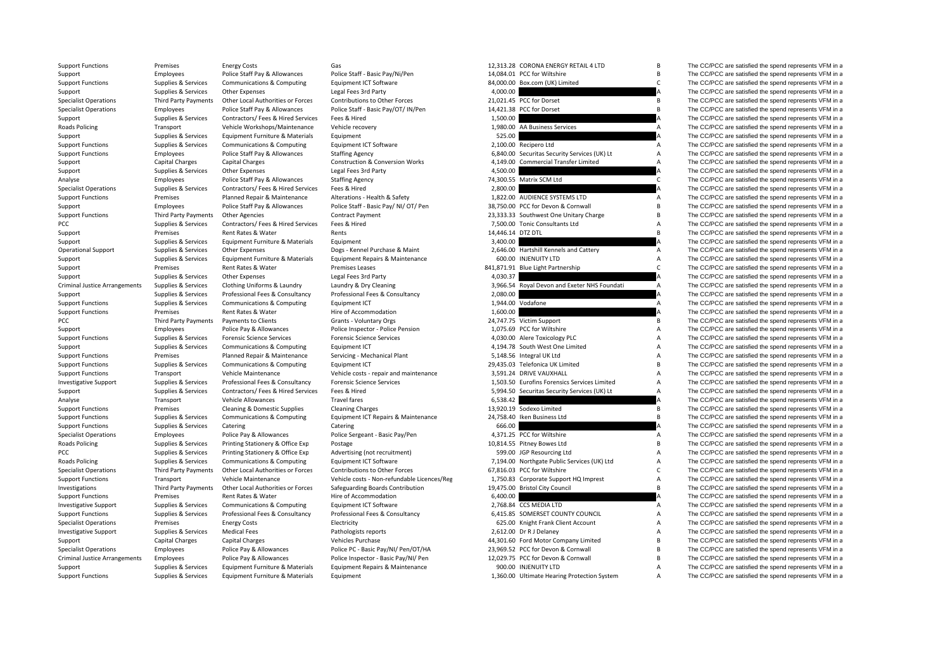| <b>Support Functions</b>                                             | Premises                                      | <b>Energy Costs</b>                                        | Gas                                                                         |                   | 12,313.28 CORONA ENERGY RETAIL 4 LTD         | В                         | The CC/PCC are satisfied the spend represents VFM in a                                                           |
|----------------------------------------------------------------------|-----------------------------------------------|------------------------------------------------------------|-----------------------------------------------------------------------------|-------------------|----------------------------------------------|---------------------------|------------------------------------------------------------------------------------------------------------------|
| Support                                                              | Employees                                     | Police Staff Pay & Allowances                              | Police Staff - Basic Pay/Ni/Pen                                             |                   | 14,084.01 PCC for Wiltshire                  | $\overline{B}$            | The CC/PCC are satisfied the spend represents VFM in a                                                           |
| <b>Support Functions</b>                                             | Supplies & Services                           | Communications & Computing                                 | Equipment ICT Software                                                      |                   | 84,000.00 Box.com (UK) Limited               | $\mathsf{C}$              | The CC/PCC are satisfied the spend represents VFM in a                                                           |
| Support                                                              | Supplies & Services                           | <b>Other Expenses</b>                                      | Legal Fees 3rd Party                                                        | 4,000.00          |                                              |                           | The CC/PCC are satisfied the spend represents VFM in a                                                           |
| <b>Specialist Operations</b>                                         | Third Party Payments                          | Other Local Authorities or Forces                          | Contributions to Other Forces                                               |                   | 21,021.45 PCC for Dorset                     | B                         | The CC/PCC are satisfied the spend represents VFM in a                                                           |
| <b>Specialist Operations</b>                                         | Employees                                     | Police Staff Pay & Allowances                              | Police Staff - Basic Pay/OT/ IN/Pen                                         |                   | 14,421.38 PCC for Dorset                     | $\overline{B}$            | The CC/PCC are satisfied the spend represents VFM in a                                                           |
| Support                                                              | Supplies & Services                           | Contractors/ Fees & Hired Services                         | Fees & Hired                                                                | 1,500.00          |                                              |                           | The CC/PCC are satisfied the spend represents VFM in a                                                           |
| Roads Policing                                                       | Transport                                     | Vehicle Workshops/Maintenance                              | Vehicle recovery                                                            |                   | 1,980.00 AA Business Services                | $\overline{A}$            | The CC/PCC are satisfied the spend represents VFM in a                                                           |
| Support                                                              | Supplies & Services                           | Equipment Furniture & Materials                            | Equipment                                                                   | 525.00            |                                              |                           | The CC/PCC are satisfied the spend represents VFM in a                                                           |
| <b>Support Functions</b>                                             | Supplies & Services                           | Communications & Computing                                 | Equipment ICT Software                                                      |                   | 2,100.00 Recipero Ltd                        | A                         | The CC/PCC are satisfied the spend represents VFM in a                                                           |
| <b>Support Functions</b>                                             | Employees                                     | Police Staff Pay & Allowances                              | <b>Staffing Agency</b>                                                      |                   | 6,840.00 Securitas Security Services (UK) Lt | A                         | The CC/PCC are satisfied the spend represents VFM in a                                                           |
| Support                                                              | Capital Charges                               | Capital Charges                                            | <b>Construction &amp; Conversion Works</b>                                  |                   | 4,149.00 Commercial Transfer Limited         | $\boldsymbol{\mathsf{A}}$ | The CC/PCC are satisfied the spend represents VFM in a                                                           |
| Support                                                              | Supplies & Services                           | <b>Other Expenses</b>                                      | Legal Fees 3rd Party                                                        | 4,500.00          |                                              |                           | The CC/PCC are satisfied the spend represents VFM in a                                                           |
| Analyse                                                              | Employees                                     | Police Staff Pay & Allowances                              | <b>Staffing Agency</b>                                                      |                   | 74,300.55 Matrix SCM Ltd                     | $\mathsf{C}$              | The CC/PCC are satisfied the spend represents VFM in a                                                           |
| <b>Specialist Operations</b>                                         | Supplies & Services                           | Contractors/ Fees & Hired Services                         | Fees & Hired                                                                | 2.800.00          |                                              | A                         | The CC/PCC are satisfied the spend represents VFM in a                                                           |
| <b>Support Functions</b>                                             | Premises                                      | Planned Repair & Maintenance                               | Alterations - Health & Safety                                               |                   | 1.822.00 AUDIENCE SYSTEMS LTD                | $\overline{A}$            | The CC/PCC are satisfied the spend represents VFM in a                                                           |
| Support                                                              | Employees                                     | Police Staff Pay & Allowances                              | Police Staff - Basic Pay/ NI/ OT/ Pen                                       |                   | 38,750.00 PCC for Devon & Cornwall           | B                         | The CC/PCC are satisfied the spend represents VFM in a                                                           |
| <b>Support Functions</b>                                             | Third Party Payments                          | Other Agencies                                             | <b>Contract Payment</b>                                                     |                   | 23,333.33 Southwest One Unitary Charge       | $\overline{B}$            | The CC/PCC are satisfied the spend represents VFM in a                                                           |
| PCC                                                                  | Supplies & Services                           | Contractors/ Fees & Hired Services                         | Fees & Hired                                                                |                   | 7,500.00 Tonic Consultants Ltd               | $\boldsymbol{\mathsf{A}}$ | The CC/PCC are satisfied the spend represents VFM in a                                                           |
| Support                                                              | Premises                                      | Rent Rates & Water                                         | Rents                                                                       | 14,446.14 DTZ DTL |                                              | $\overline{B}$            | The CC/PCC are satisfied the spend represents VFM in a                                                           |
| Support                                                              | Supplies & Services                           | Equipment Furniture & Materials                            | Equipment                                                                   | 3,400.00          |                                              |                           | The CC/PCC are satisfied the spend represents VFM in a                                                           |
| <b>Operational Support</b>                                           | Supplies & Services                           | <b>Other Expenses</b>                                      | Dogs - Kennel Purchase & Maint                                              |                   | 2,646.00 Hartshill Kennels and Cattery       | $\boldsymbol{\mathsf{A}}$ | The CC/PCC are satisfied the spend represents VFM in a                                                           |
| Support                                                              | Supplies & Services                           | Equipment Furniture & Materials                            | Equipment Repairs & Maintenance                                             |                   | 600.00 INJENUITY LTD                         | $\boldsymbol{\mathsf{A}}$ | The CC/PCC are satisfied the spend represents VFM in a                                                           |
| Support                                                              | Premises                                      | Rent Rates & Water                                         | <b>Premises Leases</b>                                                      |                   | 841,871.91 Blue Light Partnership            | $\mathsf{C}$              | The CC/PCC are satisfied the spend represents VFM in a                                                           |
| Support                                                              | Supplies & Services                           | <b>Other Expenses</b>                                      | Legal Fees 3rd Party                                                        | 4,030.37          |                                              |                           | The CC/PCC are satisfied the spend represents VFM in a                                                           |
| <b>Criminal Justice Arrangements</b>                                 | Supplies & Services                           | Clothing Uniforms & Laundry                                | Laundry & Dry Cleaning                                                      |                   | 3,966.54 Royal Devon and Exeter NHS Foundati | $\overline{A}$            | The CC/PCC are satisfied the spend represents VFM in a                                                           |
| Support                                                              | Supplies & Services                           | Professional Fees & Consultancy                            | Professional Fees & Consultancy                                             | 2,080.00          |                                              | Α                         | The CC/PCC are satisfied the spend represents VFM in a                                                           |
| <b>Support Functions</b>                                             | Supplies & Services                           | Communications & Computing                                 | Equipment ICT                                                               |                   | 1,944.00 Vodafone                            | A                         | The CC/PCC are satisfied the spend represents VFM in a                                                           |
| <b>Support Functions</b>                                             | Premises                                      | Rent Rates & Water                                         | Hire of Accommodation                                                       | 1,600.00          |                                              | A                         | The CC/PCC are satisfied the spend represents VFM in a                                                           |
| PCC                                                                  | Third Party Payments                          | Payments to Clients                                        | Grants - Voluntary Orgs                                                     |                   | 24,747.75 Victim Support                     | B                         | The CC/PCC are satisfied the spend represents VFM in a                                                           |
| Support                                                              | Employees                                     | Police Pay & Allowances                                    | Police Inspector - Police Pension                                           |                   | 1,075.69 PCC for Wiltshire                   | A                         | The CC/PCC are satisfied the spend represents VFM in a                                                           |
| <b>Support Functions</b>                                             | Supplies & Services                           | <b>Forensic Science Services</b>                           | <b>Forensic Science Services</b>                                            |                   | 4,030.00 Alere Toxicology PLC                | $\overline{A}$            | The CC/PCC are satisfied the spend represents VFM in a                                                           |
| Support                                                              | Supplies & Services                           | Communications & Computing                                 | Equipment ICT                                                               |                   | 4,194.78 South West One Limited              | $\boldsymbol{\mathsf{A}}$ | The CC/PCC are satisfied the spend represents VFM in a                                                           |
| <b>Support Functions</b>                                             | Premises                                      | Planned Repair & Maintenance                               | Servicing - Mechanical Plant                                                |                   | 5,148.56 Integral UK Ltd                     | A                         | The CC/PCC are satisfied the spend represents VFM in a                                                           |
| <b>Support Functions</b>                                             | Supplies & Services                           | Communications & Computing                                 | Equipment ICT                                                               |                   | 29,435.03 Telefonica UK Limited              | $\sf{B}$                  | The CC/PCC are satisfied the spend represents VFM in a                                                           |
| <b>Support Functions</b>                                             | Transport                                     | Vehicle Maintenance                                        | Vehicle costs - repair and maintenance                                      |                   | 3,591.24 DRIVE VAUXHALL                      | $\boldsymbol{\mathsf{A}}$ | The CC/PCC are satisfied the spend represents VFM in a                                                           |
| <b>Investigative Support</b>                                         | Supplies & Services                           | Professional Fees & Consultancy                            | <b>Forensic Science Services</b>                                            |                   | 1,503.50 Eurofins Forensics Services Limited | $\boldsymbol{\mathsf{A}}$ | The CC/PCC are satisfied the spend represents VFM in a                                                           |
| Support                                                              | Supplies & Services                           | Contractors/ Fees & Hired Services                         | Fees & Hired                                                                |                   | 5,994.50 Securitas Security Services (UK) Lt | $\boldsymbol{\mathsf{A}}$ | The CC/PCC are satisfied the spend represents VFM in a                                                           |
| Analyse                                                              | Transport                                     | <b>Vehicle Allowances</b>                                  | <b>Travel fares</b>                                                         | 6,538.42          |                                              |                           | The CC/PCC are satisfied the spend represents VFM in a                                                           |
| <b>Support Functions</b>                                             | Premises                                      | Cleaning & Domestic Supplies                               | <b>Cleaning Charges</b>                                                     |                   | 13,920.19 Sodexo Limited                     | В                         | The CC/PCC are satisfied the spend represents VFM in a                                                           |
| <b>Support Functions</b>                                             | Supplies & Services                           | Communications & Computing                                 | Equipment ICT Repairs & Maintenance                                         |                   | 24,758.40 Iken Business Ltd                  | B                         | The CC/PCC are satisfied the spend represents VFM in a                                                           |
| <b>Support Functions</b>                                             | Supplies & Services                           | Catering                                                   | Catering                                                                    | 666.00            |                                              |                           | The CC/PCC are satisfied the spend represents VFM in a                                                           |
| <b>Specialist Operations</b>                                         | Employees                                     | Police Pay & Allowances                                    | Police Sergeant - Basic Pay/Pen                                             |                   | 4,371.25 PCC for Wiltshire                   | A                         | The CC/PCC are satisfied the spend represents VFM in a                                                           |
| <b>Roads Policing</b>                                                | Supplies & Services                           | Printing Stationery & Office Exp                           | Postage                                                                     |                   | 10,814.55 Pitney Bowes Ltd                   | B                         | The CC/PCC are satisfied the spend represents VFM in a                                                           |
| PCC                                                                  | Supplies & Services                           | Printing Stationery & Office Exp                           | Advertising (not recruitment)                                               |                   | 599.00 JGP Resourcing Ltd                    | $\boldsymbol{\mathsf{A}}$ | The CC/PCC are satisfied the spend represents VFM in a                                                           |
| <b>Roads Policing</b>                                                | Supplies & Services                           | Communications & Computing                                 | Equipment ICT Software                                                      |                   | 7,194.00 Northgate Public Services (UK) Ltd  | $\boldsymbol{\mathsf{A}}$ | The CC/PCC are satisfied the spend represents VFM in a                                                           |
| <b>Specialist Operations</b>                                         | Third Party Payments                          | Other Local Authorities or Forces                          | Contributions to Other Forces                                               |                   | 67,816.03 PCC for Wiltshire                  | $\mathsf{C}$              | The CC/PCC are satisfied the spend represents VFM in a                                                           |
| <b>Support Functions</b>                                             | Transport                                     | Vehicle Maintenance                                        | Vehicle costs - Non-refundable Licences/Reg                                 |                   | 1,750.83 Corporate Support HQ Imprest        | $\boldsymbol{\mathsf{A}}$ | The CC/PCC are satisfied the spend represents VFM in a                                                           |
| Investigations                                                       | Third Party Payments                          | Other Local Authorities or Forces                          | Safeguarding Boards Contribution                                            |                   | 19,475.00 Bristol City Council               | $\sf{B}$                  | The CC/PCC are satisfied the spend represents VFM in a                                                           |
| <b>Support Functions</b>                                             | Premises                                      | Rent Rates & Water                                         | Hire of Accommodation                                                       | 6,400.00          |                                              |                           | The CC/PCC are satisfied the spend represents VFM in a                                                           |
| <b>Investigative Support</b>                                         | Supplies & Services                           | Communications & Computing                                 | Equipment ICT Software                                                      |                   | 2,768.84 CCS MEDIA LTD                       | A                         | The CC/PCC are satisfied the spend represents VFM in a                                                           |
| <b>Support Functions</b>                                             | Supplies & Services                           | Professional Fees & Consultancy                            | Professional Fees & Consultancy                                             |                   | 6,415.85 SOMERSET COUNTY COUNCIL             | $\boldsymbol{\mathsf{A}}$ | The CC/PCC are satisfied the spend represents VFM in a                                                           |
| <b>Specialist Operations</b>                                         | Premises                                      | <b>Energy Costs</b>                                        | Electricity                                                                 |                   | 625.00 Knight Frank Client Account           | $\boldsymbol{\mathsf{A}}$ | The CC/PCC are satisfied the spend represents VFM in a                                                           |
|                                                                      |                                               | <b>Medical Fees</b>                                        | Pathologists reports                                                        |                   | 2,612.00 Dr R J Delaney                      | $\boldsymbol{\mathsf{A}}$ | The CC/PCC are satisfied the spend represents VFM in a                                                           |
| <b>Investigative Support</b>                                         | Supplies & Services<br><b>Capital Charges</b> | <b>Capital Charges</b>                                     | Vehicles Purchase                                                           |                   | 44,301.60 Ford Motor Company Limited         | $\overline{B}$            | The CC/PCC are satisfied the spend represents VFM in a                                                           |
| Support                                                              |                                               |                                                            |                                                                             |                   | 23,969.52 PCC for Devon & Cornwall           | $\overline{B}$            |                                                                                                                  |
| <b>Specialist Operations</b><br><b>Criminal Justice Arrangements</b> | Employees                                     | Police Pay & Allowances                                    | Police PC - Basic Pay/NI/ Pen/OT/HA<br>Police Inspector - Basic Pay/NI/ Pen |                   | 12,029.75 PCC for Devon & Cornwall           | B                         | The CC/PCC are satisfied the spend represents VFM in a<br>The CC/PCC are satisfied the spend represents VFM in a |
|                                                                      | Employees<br>Supplies & Services              | Police Pay & Allowances<br>Equipment Furniture & Materials | Equipment Repairs & Maintenance                                             |                   | 900.00 INJENUITY LTD                         | $\overline{A}$            | The CC/PCC are satisfied the spend represents VFM in a                                                           |
| Support                                                              |                                               |                                                            |                                                                             |                   |                                              |                           |                                                                                                                  |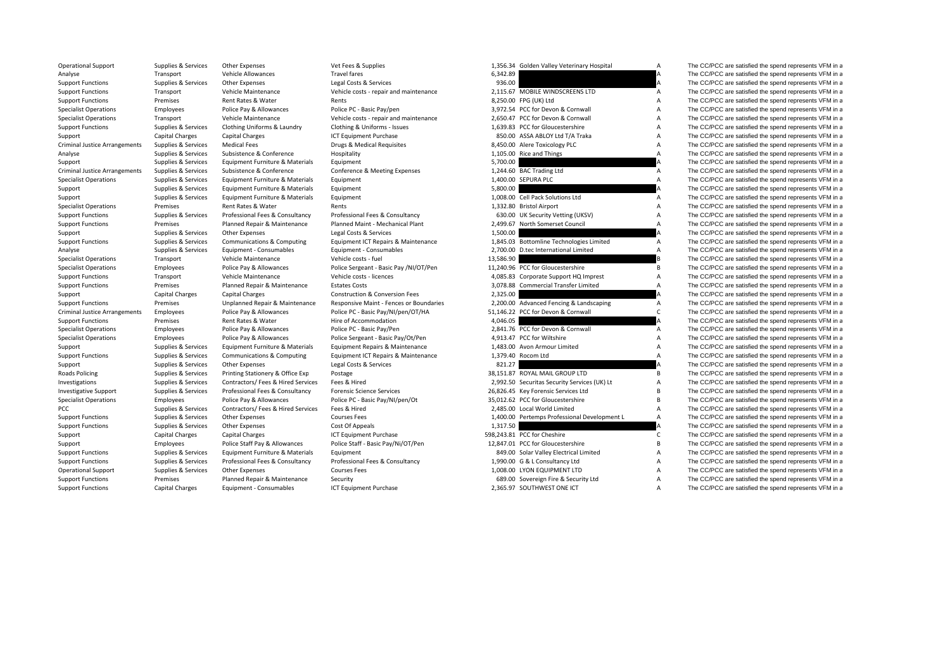Criminal JusticeCriminal JusticeCriminal Justice**Roads Policing** 

Operational Support Supplies & Services Other Expenses Vet Fees & Supplies Vet Fees & Supplies 1,356.34 Golden Valley Veterinary Hospital A The CC/PCC are satisfied the spend represents VFM in a

| .,                 | , onder vaney<br>vetermary nospital    |
|--------------------|----------------------------------------|
| 5,342.89           |                                        |
| 936.00             |                                        |
|                    | ,115.67 MOBILE WINDSCREENS LTD         |
|                    | 3,250.00 FPG (UK) Ltd                  |
|                    | 1,972.54 PCC for Devon & Cornwall      |
|                    | ,650.47 PCC for Devon & Cornwall       |
|                    | ,639.83 PCC for Gloucestershire        |
|                    | 850.00 ASSA ABLOY Ltd T/A Traka        |
| ,450.00            | Alere Toxicology PLC                   |
| ,105.00            | Rice and Things                        |
| ,700.00            |                                        |
| ,244.60<br>,400.00 | <b>BAC Trading Ltd</b>                 |
| ,800.00            | SEPURA PLC                             |
| ,008.00            | Cell Pack Solutions Ltd                |
| ,332.80            | <b>Bristol Airport</b>                 |
| 630.00             | UK Security Vetting (UKSV)             |
| 499.67.            | North Somerset Council                 |
| ,500.00            |                                        |
| ,845.03            | <b>Bottomline Technologies Limited</b> |
| ,700.00            | D.tec International Limited            |
| 586.90,            |                                        |
| ,240.96            | <b>PCC for Gloucestershire</b>         |
| 085.83,ا           | Corporate Support HQ Imprest           |
| ,078.88            | <b>Commercial Transfer Limited</b>     |
| ,325.00            |                                        |
| ,200.00            | Advanced Fencing & Landscaping         |
| .146.22            | PCC for Devon & Cornwall               |
| ,046.05            |                                        |
| ,841.76            | PCC for Devon & Cornwall               |
| ,913.47            | <b>PCC for Wiltshire</b>               |
| ,483.00            | Avon Armour Limited                    |
| ,379.40            | Rocom Ltd                              |
| 821.27             |                                        |
| 3,151.87           | ROYAL MAIL GROUP LTD                   |
| ,992.50            | Securitas Security Services (UK) Lt    |
| 826.45. ه          | Key Forensic Services Ltd              |
| ,012.62            | PCC for Gloucestershire                |
| 485.00.            | <b>Local World Limited</b>             |
| ,400.00            | Pertemps Professional Development L    |
| ,317.50            |                                        |
|                    | 3,243.81 PCC for Cheshire              |
|                    | .,847.01 PCC for Gloucestershire       |
| 849.00             | Solar Valley Electrical Limited        |
|                    | .,990.00 G & L Consultancy Ltd         |
|                    | ,008.00 LYON EQUIPMENT LTD             |
| 689.00             | Sovereign Fire & Security Ltd          |

Analyse Transport Vehicle Allowances Travel fares Travel fares 6,342.89 A The CC/PCC are satisfied the spend represents VFM in a Support Functions Supplies & Services Other Expenses Legal Costs & Services 936.00 A The CC/PCC are satisfied the spend represents VFM in a Support Functions Transport Vehicle Maintenance Vehicle costs - repair and maintenance 2,115.67 MOBILE WINDSCREENS LTD A The CC/PCC are satisfied the spend represents VFM in a Support Functions Premises Rent Rates & Water Rents Rents Rents Rents Build Build Build Build A The CC/PCC are satisfied the spend represents VFM in a Specialist Operations Employees Police Pay & Allowances Police PC ‐ Basic Pay/pen 3,972.54 PCC for Devon & Cornwall A The CC/PCC are satisfied the spend represents VFM in a Specialist Operations Transport Vehicle Maintenance Vehicle costs - repair and maintenance 2,650.47 PCC for Devon & Cornwall A The CC/PCC are satisfied the spend represents VFM in a Support Functions Supplies & Services Clothing Uniforms & Laundry Clothing & Uniforms - Issues 1,639.83 PCC for Gloucestershire A The CC/PCC are satisfied the spend represents VFM in a Support Capital Charges Capital Charges Capital Charges ICT Equipment Purchase 850.00 ASSA ABLOY Ltd T/A Traka A The CC/PCC are satisfied the spend represents VFM in a Supplies & Services Medical Fees **Brangements VFM in a Supplies Arrangements Supplies Arrangements Supplies Arrangements Arrangements VFM in a spend represents VFM in a spend represents VFM in a** Analyse Supplies & Services Subsistence & Conference Hospitality Hospitality 1,105.00 Rice and Things A The CC/PCC are satisfied the spend represents VFM in a Support Supplies Services Equipment Furniture & Materials Equipment Expenses 5,700.00 Support Support and The CC/PCC are satisfied the spend represents VFM in a Supplies & Services Subsistence & Conference Conference & Mee Subsistence & Conference Conference & Meeting Expenses 1,244.60 BAC Trading Ltd A The CC/PCC are satisfied the spend represents VFM in a Specialist Operations Supplies & Services Equipment Furniture & Materials Equipment 1,400.00 SEPURA PLC 1,400.00 A The CC/PCC are satisfied the spend represents VFM in a Support Supplies & Services Equipment Furniture & Materials Equipment Support 5,800.00 Support Support A The CC/PCC are satisfied the spend represents VFM in a support of the Support Support Support Support Support Support Support Supplies & Services Equipment Furniture & Materials Equipment 1,008.00 Cell Pack Solutions Ltd A The CC/PCC are satisfied the spend represents VFM in a Specialist Operations Premises Rent Rates & Water Rents Rents Rents and Rents 1,332.80 Bristol Airport A The CC/PCC are satisfied the spend represents VFM in a Support Functions Supplies & Services Professional Fees & Consultancy Professional Fees & Consultancy Consultancy A Consultancy 630.00 UK Security Vetting (UKSV) A The CC/PCC are satisfied the spend represents VFM in a Support Functions Premises Planned Repair & Maintenance Planned Maint - Mechanical Plant 2,499.67 North Somerset Council A The CC/PCC are satisfied the spend represents VFM in a Support Supplies & Services Other Expenses Legal Costs & Services 1,500.00 A The CC/PCC are satisfied the spend represents VFM in a Support Functions Supplies & Services Communications & Computing Equipment ICT Repairs & Maintenance 1,845.03 Bottomline Technologies Limited A The CC/PCC are satisfied the spend represents VFM in a Analyse Supplies & Services Equipment - Consumables Equipment - Consumables Equipment - Consumables 2,700.00 D.tec International Limited A The CC/PCC are satisfied the spend represents VFM in a Specialist Operations Transport Vehicle Maintenance Vehicle costs - fuel 13,586.90 B The CC/PCC are satisfied the spend represents VFM in a Specialist Operations Employees Police Pay & Allowances Police Sergeant - Basic Pay /NI/OT/Pen 11,240.96 PCC for Gloucestershire B The CC/PCC are satisfied the spend represents VFM in a Support Functions Transport Vehicle Maintenance Vehicle costs – licences 4,085.83 Corporate Support HQ Imprest A The CC/PCC are satisfied the spend represents VFM in a Support HO Imprest A The CC/PCC are satisfied the spen Support Functions Premises Planned Repair & Maintenance Estates Costs 3,078.88 Commercial Transfer Limited A The CC/PCC are satisfied the spend represents VFM in a Support Capital Charges Capital Charges Capital Charges Construction & Conversion Fees 2,325.00 2,325.00 Advanced Fencing & Landscaping A The CC/PCC are satisfied the spend represents VFM in a Support Functions Peermises U Support Functions Premises Unplanned Repair & Maintenance Responsive Maint - Fences or Boundaries 2,200.00 Advanced Fencing & Landscaping A The CC/PCC are satisfied the spend represents VFM in a Employees Police Pay & Allowances Police PC - Basic Pay/NI/pen/OT/HA 51,146.22 PCC for Devon & Cornwall C The CC/PCC are satisfied the spend represents VFM in a Support Functions Premises Rent Rates & Water Hire of Accommodation 4,046.05 A The CC/PCC are satisfied the spend represents VFM in a Specialist Operations Employees Police Pay & Allowances Police PC - Basic Pay/Pen 2,841.76 PCC for Devon & Cornwall A The CC/PCC are satisfied the spend represents VFM in a Specialist Operations Employees Police Pay & Allowances Police Sergeant - Basic Pay/Ot/Pen 4,913.47 PCC for Wiltshire A The CC/PCC are satisfied the spend represents VFM in a Support Supplies & Services Equipment Furniture & Materials Equipment Repairs & Maintenance 1,483.00 Avon Armour Limited A The CC/PCC are satisfied the spend represents VFM in a Support Functions Supplies & Services Communications & Computing Equipment ICT Repairs & Maintenance 1,379.40 Rocom Ltd A The CC/PCC are satisfied the spend represents VFM in a Support Supplies & Services Other Expenses Legal Costs & Services A S21.27 A The CC/PCC are satisfied the spend represents VFM in a Supplies & Services Printing Stationery & Office Exp Postage experiences are a service of the Supplies and The CC/PCC are satisfied the spend represents VFM in a Investigations Supplies & Services Contractors/ Fees & Hired Services Fees & Hired 2002 Fees & Hired 2002.50 Securitas Security Services (UK) Lt A The CC/PCC are satisfied the spend represents VFM in a Investigative Support Supplies & Services Professional Fees & Consultancy Forensic Science Services 26,826.45 Key Forensic Services Ltd B The CC/PCC are satisfied the spend represents VFM in a Specialist Operations Employees Police Pay & Allowances Police PC - Basic Pay/NI/pen/Ot 35,012.62 PCC for Gloucestershire B The CC/PCC are satisfied the spend represents VFM in a PCC Supplies & Services Contractors/ Fees & Hired Services Fees & Hired A The CC/PCC are satisfied the spend represents VFM in a Support Functions Supplies & Services Other Expenses Courses Fees Courses Fees 1,400.00 Pertemps Professional Development L A The CC/PCC are satisfied the spend represents VFM in a supplies & Services Other Expenses Cost O Support Functions Supplies & Services Other Expenses Cost Of Appeals Cost Of Appeals 1,317.50 A The CC/PCC are satisfied the spend represents VFM in a Support Capital Charges Capital Charges Capital Charges ICT Equipment Purchase 598,243.81 PCC for Cheshire C The CC/PCC are satisfied the spend represents VFM in a Support Employees Police Staff Pay & Allowances Police Staff - Basic Pay/Ni/OT/Pen 12,847.01 PCC for Gloucestershire B The CC/PCC are satisfied the spend represents VFM in a Support Functions Supplies & Services Foulipment Furniture & Materials Foulipment and Support and Material A The CC/PCC are satisfied the spend represents VFM in a Support Functions Supplies & Services Professional Fees & Consultancy Professional Fees & Consultancy Consultancy 1,990.00 G & L Consultancy Ltd A The CC/PCC are satisfied the spend represents VFM in a Operational Support Supplies & Services Other Expenses Courses Fees Courses Fees 1,008.00 LYON EQUIPMENT LTD A The CC/PCC are satisfied the spend represents VFM in a Support Functions Premises Planned Repair & Maintenance Security Courity Courtes and the Security Ltd A The CC/PCC are satisfied the spend represents VFM in a Support Functions Capital Charges Equipment - Consumables ICT Equipment Purchase 2,365.97 SOUTHWEST ONE ICT A The CC/PCC are satisfied the spend represents VFM in a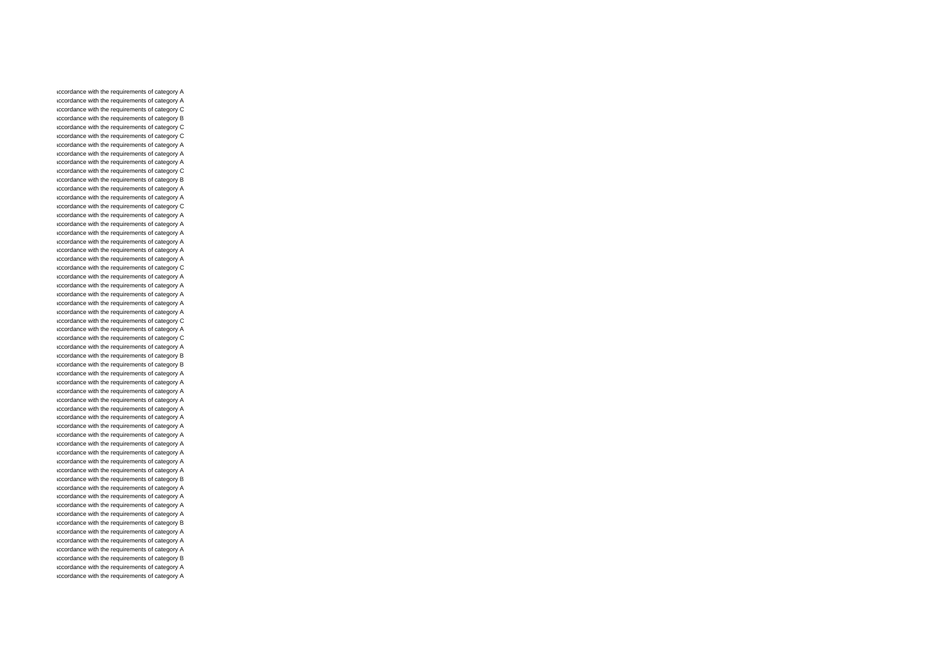accordance with the requirements of category A accordance with the requirements of category A accordance with the requirements of category C accordance with the requirements of category B accordance with the requirements of category C accordance with the requirements of category C accordance with the requirements of category A accordance with the requirements of category A accordance with the requirements of category A accordance with the requirements of category C accordance with the requirements of category B accordance with the requirements of category A accordance with the requirements of category A accordance with the requirements of category C accordance with the requirements of category A accordance with the requirements of category A accordance with the requirements of category A accordance with the requirements of category A accordance with the requirements of category A accordance with the requirements of category A accordance with the requirements of category C accordance with the requirements of category A accordance with the requirements of category A accordance with the requirements of category A accordance with the requirements of category A accordance with the requirements of category A accordance with the requirements of category C accordance with the requirements of category A accordance with the requirements of category C accordance with the requirements of category A accordance with the requirements of category B accordance with the requirements of category B accordance with the requirements of category A accordance with the requirements of category A accordance with the requirements of category A accordance with the requirements of category A accordance with the requirements of category A accordance with the requirements of category A accordance with the requirements of category A accordance with the requirements of category A accordance with the requirements of category A accordance with the requirements of category A accordance with the requirements of category A accordance with the requirements of category A accordance with the requirements of category B accordance with the requirements of category A accordance with the requirements of category A accordance with the requirements of category A accordance with the requirements of category A accordance with the requirements of category B accordance with the requirements of category A accordance with the requirements of category A accordance with the requirements of category A accordance with the requirements of category B accordance with the requirements of category A accordance with the requirements of category A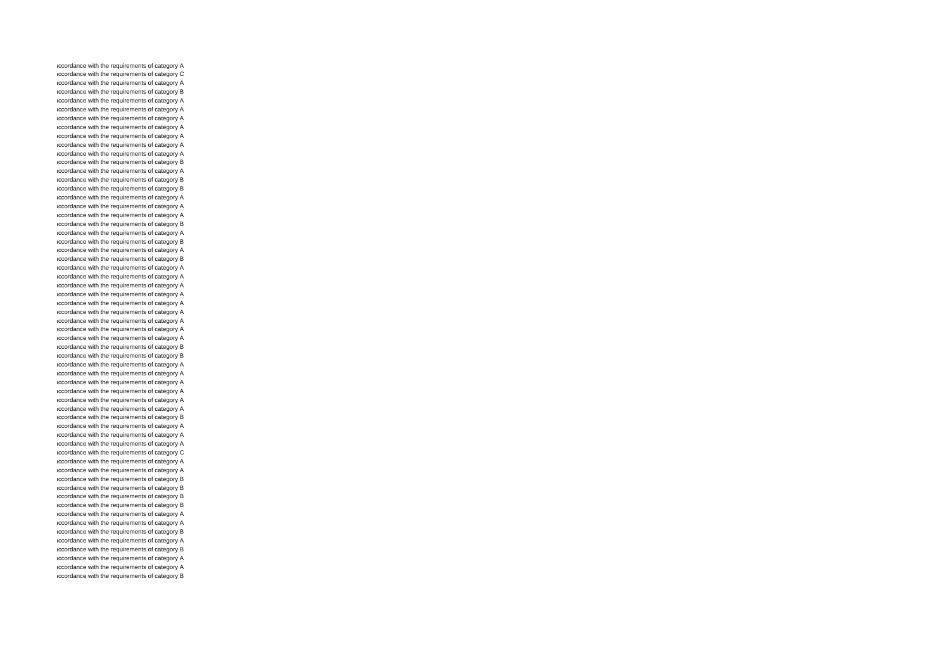accordance with the requirements of category A accordance with the requirements of category C accordance with the requirements of category A accordance with the requirements of category B accordance with the requirements of category A accordance with the requirements of category A accordance with the requirements of category A accordance with the requirements of category A accordance with the requirements of category A accordance with the requirements of category A accordance with the requirements of category A accordance with the requirements of category B accordance with the requirements of category A accordance with the requirements of category B accordance with the requirements of category B accordance with the requirements of category A accordance with the requirements of category A accordance with the requirements of category A accordance with the requirements of category B accordance with the requirements of category A accordance with the requirements of category B accordance with the requirements of category A accordance with the requirements of category B accordance with the requirements of category A accordance with the requirements of category A accordance with the requirements of category A accordance with the requirements of category A accordance with the requirements of category A accordance with the requirements of category A accordance with the requirements of category A accordance with the requirements of category A accordance with the requirements of category A accordance with the requirements of category B accordance with the requirements of category B accordance with the requirements of category A accordance with the requirements of category A accordance with the requirements of category A accordance with the requirements of category A accordance with the requirements of category A accordance with the requirements of category A accordance with the requirements of category B accordance with the requirements of category A accordance with the requirements of category A accordance with the requirements of category A accordance with the requirements of category C accordance with the requirements of category A accordance with the requirements of category A accordance with the requirements of category B accordance with the requirements of category B accordance with the requirements of category B accordance with the requirements of category B accordance with the requirements of category A accordance with the requirements of category A accordance with the requirements of category B accordance with the requirements of category A accordance with the requirements of category B accordance with the requirements of category A accordance with the requirements of category A accordance with the requirements of category B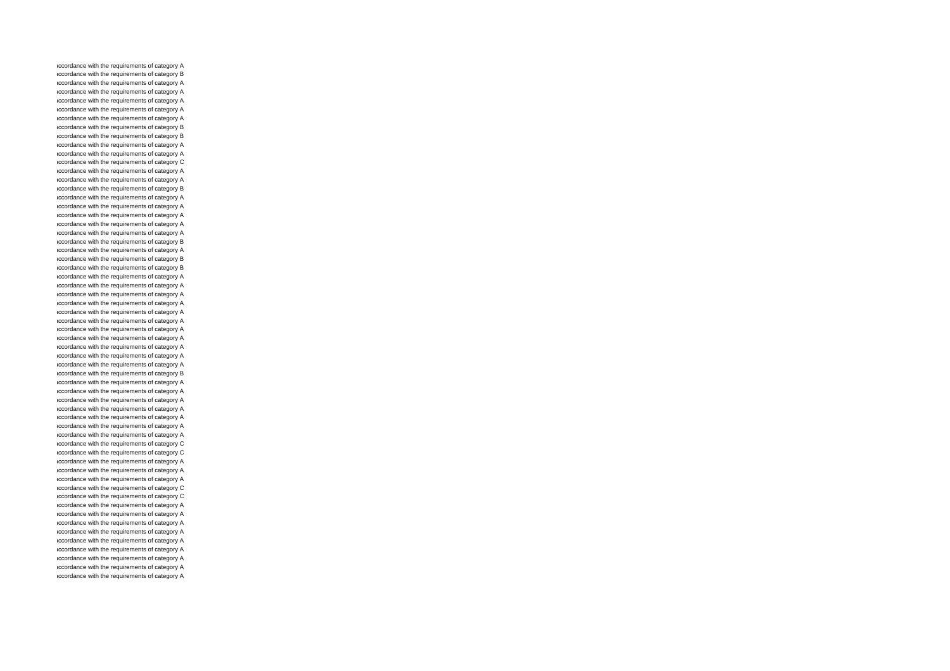accordance with the requirements of category A accordance with the requirements of category B accordance with the requirements of category A accordance with the requirements of category A accordance with the requirements of category A accordance with the requirements of category A accordance with the requirements of category A accordance with the requirements of category B accordance with the requirements of category B accordance with the requirements of category A accordance with the requirements of category A accordance with the requirements of category C accordance with the requirements of category A accordance with the requirements of category A accordance with the requirements of category B accordance with the requirements of category A accordance with the requirements of category A accordance with the requirements of category A accordance with the requirements of category A accordance with the requirements of category A accordance with the requirements of category B accordance with the requirements of category A accordance with the requirements of category B accordance with the requirements of category B accordance with the requirements of category A accordance with the requirements of category A accordance with the requirements of category A accordance with the requirements of category A accordance with the requirements of category A accordance with the requirements of category A accordance with the requirements of category A accordance with the requirements of category A accordance with the requirements of category A accordance with the requirements of category A accordance with the requirements of category A accordance with the requirements of category B accordance with the requirements of category A accordance with the requirements of category A accordance with the requirements of category A accordance with the requirements of category A accordance with the requirements of category A accordance with the requirements of category A accordance with the requirements of category A accordance with the requirements of category C accordance with the requirements of category C accordance with the requirements of category A accordance with the requirements of category A accordance with the requirements of category A accordance with the requirements of category C accordance with the requirements of category C accordance with the requirements of category A accordance with the requirements of category A accordance with the requirements of category A accordance with the requirements of category A accordance with the requirements of category A accordance with the requirements of category A accordance with the requirements of category A accordance with the requirements of category A accordance with the requirements of category A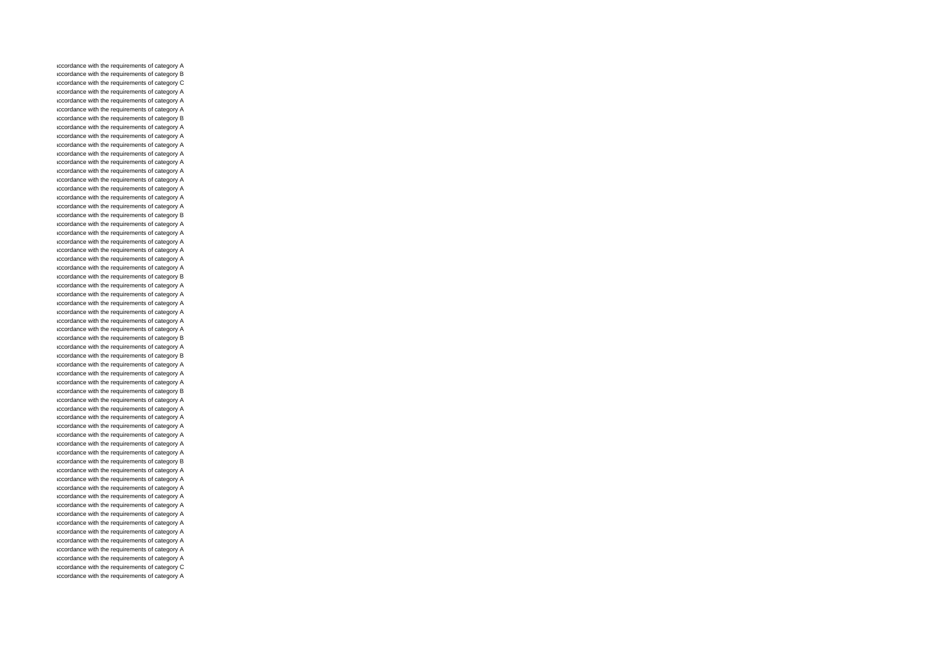accordance with the requirements of category A accordance with the requirements of category B accordance with the requirements of category C accordance with the requirements of category A accordance with the requirements of category A accordance with the requirements of category A accordance with the requirements of category B accordance with the requirements of category A accordance with the requirements of category A accordance with the requirements of category A accordance with the requirements of category A accordance with the requirements of category A accordance with the requirements of category A accordance with the requirements of category A accordance with the requirements of category A accordance with the requirements of category A accordance with the requirements of category A accordance with the requirements of category B accordance with the requirements of category A accordance with the requirements of category A accordance with the requirements of category A accordance with the requirements of category A accordance with the requirements of category A accordance with the requirements of category A accordance with the requirements of category B accordance with the requirements of category A accordance with the requirements of category A accordance with the requirements of category A accordance with the requirements of category A accordance with the requirements of category A accordance with the requirements of category A accordance with the requirements of category B accordance with the requirements of category A accordance with the requirements of category B accordance with the requirements of category A accordance with the requirements of category A accordance with the requirements of category A accordance with the requirements of category B accordance with the requirements of category A accordance with the requirements of category A accordance with the requirements of category A accordance with the requirements of category A accordance with the requirements of category A accordance with the requirements of category A accordance with the requirements of category A accordance with the requirements of category B accordance with the requirements of category A accordance with the requirements of category A accordance with the requirements of category A accordance with the requirements of category A accordance with the requirements of category A accordance with the requirements of category A accordance with the requirements of category A accordance with the requirements of category A accordance with the requirements of category A accordance with the requirements of category A accordance with the requirements of category A accordance with the requirements of category C accordance with the requirements of category A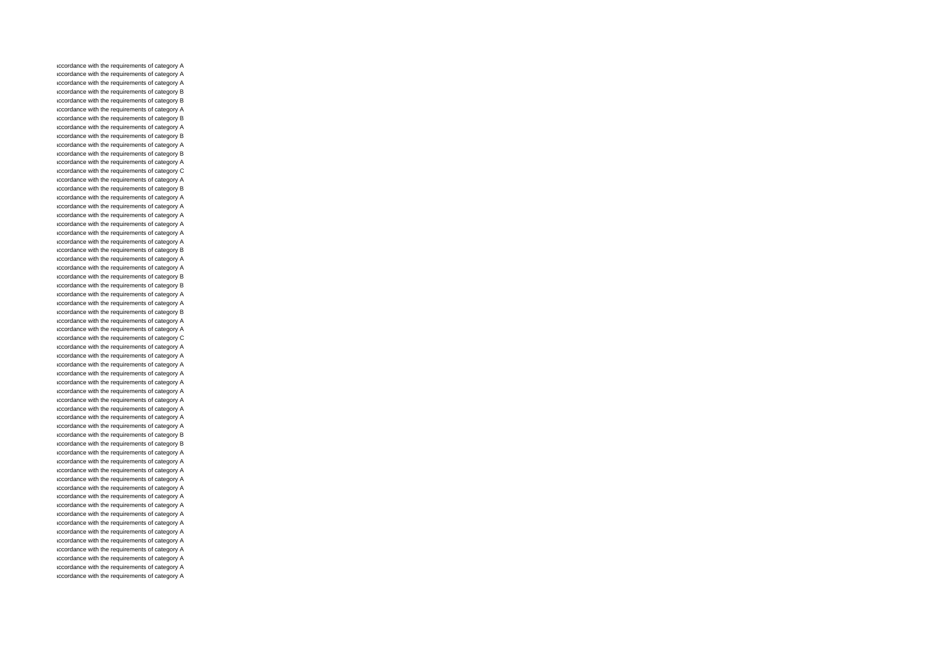accordance with the requirements of category A accordance with the requirements of category A accordance with the requirements of category A accordance with the requirements of category B accordance with the requirements of category B accordance with the requirements of category A accordance with the requirements of category B accordance with the requirements of category A accordance with the requirements of category B accordance with the requirements of category A accordance with the requirements of category B accordance with the requirements of category A accordance with the requirements of category C accordance with the requirements of category A accordance with the requirements of category B accordance with the requirements of category A accordance with the requirements of category A accordance with the requirements of category A accordance with the requirements of category A accordance with the requirements of category A accordance with the requirements of category A accordance with the requirements of category B accordance with the requirements of category A accordance with the requirements of category A accordance with the requirements of category B accordance with the requirements of category B accordance with the requirements of category A accordance with the requirements of category A accordance with the requirements of category B accordance with the requirements of category A accordance with the requirements of category A accordance with the requirements of category C accordance with the requirements of category A accordance with the requirements of category A accordance with the requirements of category A accordance with the requirements of category A accordance with the requirements of category A accordance with the requirements of category A accordance with the requirements of category A accordance with the requirements of category A accordance with the requirements of category A accordance with the requirements of category A accordance with the requirements of category B accordance with the requirements of category B accordance with the requirements of category A accordance with the requirements of category A accordance with the requirements of category A accordance with the requirements of category A accordance with the requirements of category A accordance with the requirements of category A accordance with the requirements of category A accordance with the requirements of category A accordance with the requirements of category A accordance with the requirements of category A accordance with the requirements of category A accordance with the requirements of category A accordance with the requirements of category A accordance with the requirements of category A accordance with the requirements of category A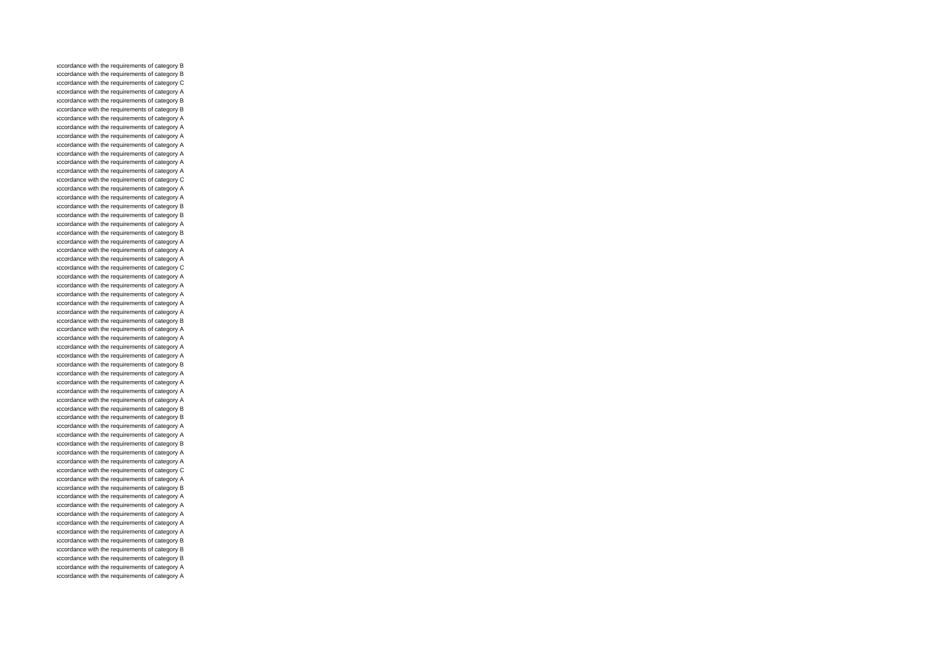accordance with the requirements of category B accordance with the requirements of category B accordance with the requirements of category C accordance with the requirements of category A accordance with the requirements of category B accordance with the requirements of category B accordance with the requirements of category A accordance with the requirements of category A accordance with the requirements of category A accordance with the requirements of category A accordance with the requirements of category A accordance with the requirements of category A accordance with the requirements of category A accordance with the requirements of category C accordance with the requirements of category A accordance with the requirements of category A accordance with the requirements of category B accordance with the requirements of category B accordance with the requirements of category A accordance with the requirements of category B accordance with the requirements of category A accordance with the requirements of category A accordance with the requirements of category A accordance with the requirements of category C accordance with the requirements of category A accordance with the requirements of category A accordance with the requirements of category A accordance with the requirements of category A accordance with the requirements of category A accordance with the requirements of category B accordance with the requirements of category A accordance with the requirements of category A accordance with the requirements of category A accordance with the requirements of category A accordance with the requirements of category B accordance with the requirements of category A accordance with the requirements of category A accordance with the requirements of category A accordance with the requirements of category A accordance with the requirements of category B accordance with the requirements of category B accordance with the requirements of category A accordance with the requirements of category A accordance with the requirements of category B accordance with the requirements of category A accordance with the requirements of category A accordance with the requirements of category C accordance with the requirements of category A accordance with the requirements of category B accordance with the requirements of category A accordance with the requirements of category A accordance with the requirements of category A accordance with the requirements of category A accordance with the requirements of category A accordance with the requirements of category B accordance with the requirements of category B accordance with the requirements of category B accordance with the requirements of category A accordance with the requirements of category A